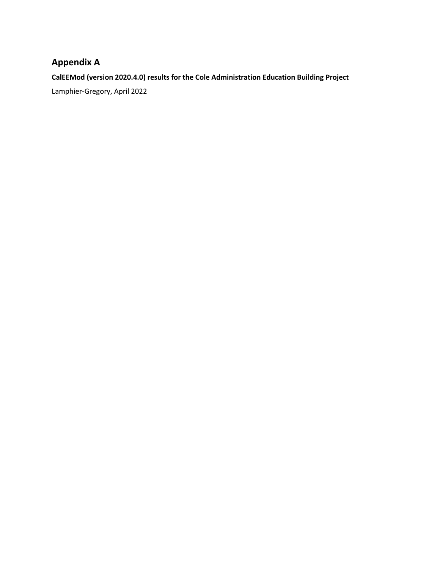# **Appendix A**

**CalEEMod (version 2020.4.0) results for the Cole Administration Education Building Project**

Lamphier-Gregory, April 2022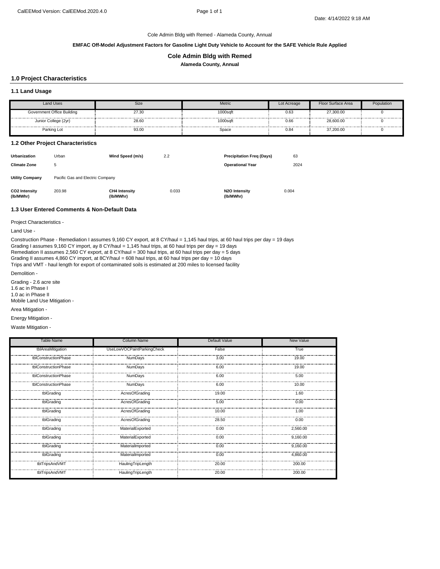**EMFAC Off-Model Adjustment Factors for Gasoline Light Duty Vehicle to Account for the SAFE Vehicle Rule Applied**

#### **Cole Admin Bldg with Remed**

**Alameda County, Annual**

# **1.0 Project Characteristics**

#### **1.1 Land Usage**

| Land Uses                  | Size  | Metric   | Lot Acreage | Floor Surface Area | Population |
|----------------------------|-------|----------|-------------|--------------------|------------|
| Government Office Building | 27.30 | 1000sqft | 0.63        | 27,300.00          |            |
| Junior College (2yr)       | 28.60 | 1000sqft | 0.66        | 28,600.00          |            |
| Parking Lot                | 93.00 | Space    | 0.84        | 37,200.00          |            |

#### **1.2 Other Project Characteristics**

| <b>Urbanization</b><br><b>Climate Zone</b> | Urban<br>5                       | Wind Speed (m/s)                  | 2.2   | <b>Precipitation Freg (Days)</b><br><b>Operational Year</b> | 63<br>2024 |
|--------------------------------------------|----------------------------------|-----------------------------------|-------|-------------------------------------------------------------|------------|
| <b>Utility Company</b>                     | Pacific Gas and Electric Company |                                   |       |                                                             |            |
| <b>CO2 Intensity</b><br>(lb/MWhr)          | 203.98                           | <b>CH4 Intensity</b><br>(lb/MWhr) | 0.033 | N2O Intensity<br>(lb/MWhr)                                  | 0.004      |

# **1.3 User Entered Comments & Non-Default Data**

Project Characteristics -

Land Use -

Trips and VMT - haul length for export of contaminated soils is estimated at 200 miles to licensed facility Construction Phase - Remediation I assumes 9,160 CY export, at 8 CY/haul = 1,145 haul trips, at 60 haul trips per day = 19 days Grading I assumes 9,160 CY import, ay 8 CY/haul = 1,145 haul trips, at 60 haul trips per day = 19 days Remediation II assumes 2,560 CY export, at 8 CY/haul = 300 haul trips, at 60 haul trips per day = 5 days Grading II assumes 4,860 CY import, at 8CY/haul = 608 haul trips, at 60 haul trips per day = 10 days

Demolition -

Grading - 2.6 acre site 1.6 ac in Phase I

1.0 ac in Phase II Mobile Land Use Mitigation -

Area Mitigation -

Energy Mitigation -

Waste Mitigation -

| Table Name           | <b>Column Name</b>         | Default Value | New Value |
|----------------------|----------------------------|---------------|-----------|
| tblAreaMitigation    | UseLowVOCPaintParkingCheck | False         | True      |
| tblConstructionPhase | NumDays                    | 3.00          | 19.00     |
| tblConstructionPhase | NumDays                    | 6.00          | 19.00     |
| tblConstructionPhase | NumDays                    | 6.00          | 5.00      |
| tblConstructionPhase | NumDays                    | 6.00          | 10.00     |
| tblGrading           | AcresOfGrading             | 19.00         | 1.60      |
| tblGrading           | AcresOfGrading             | 5.00          | 0.00      |
| tblGrading           | AcresOfGrading             | 10.00         | 1.00      |
| tblGrading           | AcresOfGrading             | 28.50         | 0.00      |
| tblGrading           | MaterialExported           | 0.00          | 2.560.00  |
| tblGrading           | MaterialExported           | 0.00          | 9.160.00  |
| tblGrading           | MaterialImported           | 0.00          | 9,160.00  |
| tblGrading           | MaterialImported           | 0.00          | 4.860.00  |
| tblTripsAndVMT       | HaulingTripLength          | 20.00         | 200.00    |
| tblTripsAndVMT       | HaulingTripLength          | 20.00         | 200.00    |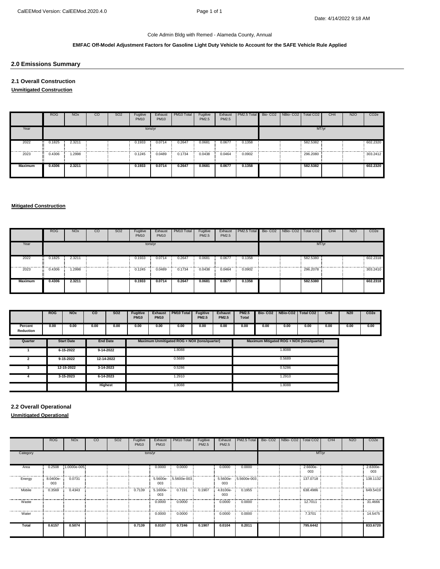#### **EMFAC Off-Model Adjustment Factors for Gasoline Light Duty Vehicle to Account for the SAFE Vehicle Rule Applied**

### **2.0 Emissions Summary**

**2.1 Overall Construction**

**Unmitigated Construction**

|                | <b>ROG</b>                 | <b>NO<sub>x</sub></b> | <sub>co</sub> | SO <sub>2</sub> | Fugitive<br><b>PM10</b> | Exhaust<br><b>PM10</b> | PM <sub>10</sub> Total | Fugitive<br>PM2.5 | Exhaust<br>PM2.5 | PM2.5 Total | Bio-CO2   NBio-CO2 | Total CO <sub>2</sub> | CH <sub>4</sub> | <b>N2O</b> | CO <sub>2</sub> e |
|----------------|----------------------------|-----------------------|---------------|-----------------|-------------------------|------------------------|------------------------|-------------------|------------------|-------------|--------------------|-----------------------|-----------------|------------|-------------------|
| Year           |                            |                       |               |                 | tons/yr                 |                        |                        |                   |                  |             |                    | MT/yr                 |                 |            |                   |
| 2022           | 0.1825<br>$\bullet$        | 2.3211                |               |                 | 0.1933                  | 0.0714                 | 0.2647                 | 0.0681            | 0.0677           | 0.1358      |                    | 582.5382              |                 |            | 602.2320          |
| 2023           | 0.4306<br>$\bullet\bullet$ | 1.2998                |               |                 | 0.1245                  | 0.0489                 | 0.1734                 | 0.0438            | 0.0464           | 0.0902      |                    | 296.2080              |                 |            | 303,2412          |
| <b>Maximum</b> | 0.4306                     | 2.3211                |               |                 | 0.1933                  | 0.0714                 | 0.2647                 | 0.0681            | 0.0677           | 0.1358      |                    | 582.5382              |                 |            | 602.2320          |

# **Mitigated Construction**

|                | <b>ROG</b> | <b>NO<sub>x</sub></b> | CO | SO <sub>2</sub> | Fugitive<br><b>PM10</b> | Exhaust<br><b>PM10</b> | PM <sub>10</sub> Total | Fugitive<br>PM2.5 | Exhaust<br>PM2.5 | PM2.5 Total | Bio- CO2   NBio- CO2   Total CO2 |          | CH <sub>4</sub> | N <sub>2</sub> O | CO <sub>2</sub> e |
|----------------|------------|-----------------------|----|-----------------|-------------------------|------------------------|------------------------|-------------------|------------------|-------------|----------------------------------|----------|-----------------|------------------|-------------------|
| Year           |            |                       |    |                 |                         | tons/yr                |                        |                   |                  |             |                                  | MT/yr    |                 |                  |                   |
| 2022           | 0.1825     | 2.3211                |    |                 | 0.1933                  | 0.0714<br>             | 0.2647                 | 0.0681            | 0.0677           | 0.1358      |                                  | 582.5380 |                 |                  | 602.2318<br>.     |
| 2023           | 0.4306     | 1.2998                |    |                 | 0.1245                  | 0.0489                 | 0.1734                 | 0.0438            | 0.0464           | 0.0902      |                                  | 296.2078 |                 |                  | 303.2410          |
| <b>Maximum</b> | 0.4306     | 2.3211                |    |                 | 0.1933                  | 0.0714                 | 0.2647                 | 0.0681            | 0.0677           | 0.1358      |                                  | 582.5380 |                 |                  | 602.2318          |

|                      | <b>ROG</b> | <b>NO<sub>x</sub></b> | <b>CO</b> | <b>SO2</b>      | <b>Fugitive</b><br><b>PM10</b> | <b>Exhaust</b><br><b>PM10</b> | PM10 Total                                   | <b>Fugitive</b><br><b>PM2.5</b> | <b>Exhaust</b><br><b>PM2.5</b> | <b>PM2.5</b><br><b>Total</b> |                                            | Bio- CO2   NBio-CO2   Total CO2 |      | CH <sub>4</sub> | N <sub>20</sub> | CO <sub>2</sub> e |
|----------------------|------------|-----------------------|-----------|-----------------|--------------------------------|-------------------------------|----------------------------------------------|---------------------------------|--------------------------------|------------------------------|--------------------------------------------|---------------------------------|------|-----------------|-----------------|-------------------|
| Percent<br>Reduction | 0.00       | 0.00                  | 0.00      | 0.00            | 0.00                           | 0.00                          | 0.00                                         | 0.00                            | 0.00                           | 0.00                         | 0.00                                       | 0.00                            | 0.00 | 0.00            | 0.00            | 0.00              |
| Quarter              |            | <b>Start Date</b>     |           | <b>End Date</b> |                                |                               | Maximum Unmitigated ROG + NOX (tons/quarter) |                                 |                                |                              | Maximum Mitigated ROG + NOX (tons/quarter) |                                 |      |                 |                 |                   |
|                      |            | $6 - 15 - 2022$       |           | $9-14-2022$     |                                |                               | 1.8088                                       |                                 |                                |                              |                                            |                                 |      |                 |                 |                   |
|                      |            | $9-15-2022$           |           | 12-14-2022      | 0.5689                         |                               |                                              |                                 |                                |                              |                                            |                                 |      |                 |                 |                   |
|                      |            | 12-15-2022            |           | 3-14-2023       | 0.5286                         |                               |                                              |                                 |                                | 0.5286                       |                                            |                                 |      |                 |                 |                   |
|                      |            | $3-15-2023$           |           | $6 - 14 - 2023$ | 1.2910                         |                               |                                              |                                 |                                | 1.2910                       |                                            |                                 |      |                 |                 |                   |
|                      |            |                       |           | <b>Highest</b>  | 1.8088                         |                               |                                              |                                 |                                | 1.8088                       |                                            |                                 |      |                 |                 |                   |

**2.2 Overall Operational**

**Unmitigated Operational**

|          | <b>ROG</b>      | <b>NO<sub>x</sub></b> | CO | SO <sub>2</sub> | Fugitive<br><b>PM10</b> | Exhaust<br><b>PM10</b> | PM10 Total  | Fugitive<br>PM2.5 | Exhaust<br>PM2.5 | PM2.5 Total          | Bio- CO2 NBio- CO2 Total CO2 |                 | CH <sub>4</sub> | N <sub>2</sub> O | CO <sub>2e</sub> |
|----------|-----------------|-----------------------|----|-----------------|-------------------------|------------------------|-------------|-------------------|------------------|----------------------|------------------------------|-----------------|-----------------|------------------|------------------|
| Category |                 |                       |    |                 |                         | tons/yr                |             |                   |                  |                      |                              | MT/yr           |                 |                  |                  |
| Area     | 0.2508          | 1.0000e-005           |    |                 |                         | 0.0000                 | 0.0000      |                   | 0.0000           | 0.0000               |                              | 2.6600e-<br>003 |                 |                  | 2.8300e-<br>003  |
| Energy   | 8.0400e-<br>003 | 0.0731                |    |                 |                         | 5.5600e-<br>003        | 5.5600e-003 |                   | 003              | 5.5600e- 5.5600e-003 |                              | 137.0718        |                 |                  | 138.1132         |
| Mobile   | 0.3569          | 0.4343                |    |                 | 0.7139                  | 5.1600e-<br>003        | 0.7191      | 0.1907            | 4.8100e-<br>003  | 0.1955               |                              | 638.4986        |                 |                  | 649.5419         |
| Waste    |                 |                       |    |                 |                         | 0.0000                 | 0.0000      |                   | 0.0000           | 0.0000               |                              | 12.7011         |                 |                  | 31.4666          |
| Water    |                 |                       |    |                 |                         | 0.0000                 | 0.0000      |                   | 0.0000           | 0.0000               |                              | 7.3701          |                 |                  | 14.5475          |
| Total    | 0.6157          | 0.5074                |    |                 | 0.7139                  | 0.0107                 | 0.7246      | 0.1907            | 0.0104           | 0.2011               |                              | 795.6442        |                 |                  | 833.6720         |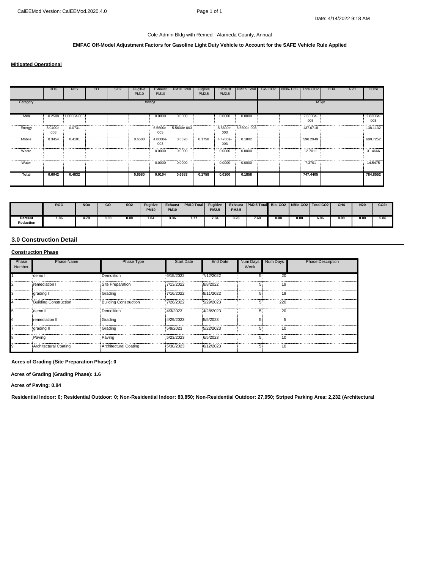#### **EMFAC Off-Model Adjustment Factors for Gasoline Light Duty Vehicle to Account for the SAFE Vehicle Rule Applied**

#### **Mitigated Operational**

|              | <b>ROG</b>      | <b>NO<sub>x</sub></b> | CO. | <b>SO2</b> | Fugitive<br><b>PM10</b> | Exhaust<br><b>PM10</b> | PM10 Total  | Fugitive<br>PM2.5 | Exhaust<br>PM2.5 | PM2.5 Total          | Bio-CO <sub>2</sub> | NBio-CO <sub>2</sub> | Total CO <sub>2</sub> | CH <sub>4</sub> | <b>N2O</b> | CO <sub>2e</sub> |
|--------------|-----------------|-----------------------|-----|------------|-------------------------|------------------------|-------------|-------------------|------------------|----------------------|---------------------|----------------------|-----------------------|-----------------|------------|------------------|
| Category     |                 |                       |     |            | tons/yr                 |                        |             |                   |                  |                      |                     |                      | MT/yr                 |                 |            |                  |
| Area         | 0.2508          | 1.0000e-005           |     |            |                         | 0.0000                 | 0.0000      |                   | 0.0000           | 0.0000               |                     |                      | 2.6600e-<br>003       |                 |            | 2.8300e-<br>003  |
| Energy       | 8.0400e-<br>003 | 0.0731                |     |            |                         | 5.5600e-<br>003        | 5.5600e-003 |                   | 003              | 5.5600e- 5.5600e-003 |                     |                      | 137.0718              |                 |            | 138.1132         |
| Mobile       | 0.3454          | 0.4101                |     |            | 0.6580                  | 4.8000e-<br>003        | 0.6628      | 0.1758            | 4.4700e-<br>003  | 0.1802               |                     |                      | 590.2949              |                 |            | 600.7252         |
| Waste        |                 |                       |     |            |                         | 0.0000                 | 0.0000      |                   | 0.0000           | 0.0000               |                     |                      | 12.7011               |                 |            | 31.4666          |
| Water        |                 |                       |     |            |                         | 0.0000                 | 0.0000      |                   | 0.0000           | 0.0000               |                     |                      | 7.3701                |                 |            | 14.5475          |
| <b>Total</b> | 0.6042          | 0.4832                |     |            | 0.6580                  | 0.0104                 | 0.6683      | 0.1758            | 0.0100           | 0.1858               |                     |                      | 747.4405              |                 |            | 784.8552         |

|                      | <b>ROG</b> | <b>NOx</b> | $_{\rm co}$ | <b>SO2</b> | <b>Fuaitive</b><br><b>PM10</b> | <b>Exhaust</b><br><b>PM10</b> | <b>PM10 Total</b> | <b>Fugitive</b><br><b>PM2.5</b> | <b>Exhaust</b><br><b>PM2.5</b> | <b>PM2.5 Total Bio-CO2</b> |      | NBio-CO2   Total CO2 |      | CH <sub>4</sub> | N <sub>20</sub> | CO <sub>2</sub> e |
|----------------------|------------|------------|-------------|------------|--------------------------------|-------------------------------|-------------------|---------------------------------|--------------------------------|----------------------------|------|----------------------|------|-----------------|-----------------|-------------------|
| Percent<br>Reduction | 1.86       | 4. / č     | 0.00        | 0.00       | 7.84                           | 3.36                          | -<br>.            | о.<br>ەق. /                     | 3.28                           | 7.60                       | 0.00 | 0.00<br>.            | 6.06 | 0.00            | 0.00            | 5.86              |

#### **3.0 Construction Detail**

#### **Construction Phase**

| Phase<br>Number | <b>Phase Name</b>            | <b>Phase Type</b>     | <b>Start Date</b> | <b>End Date</b> | Num Days<br>Week | Num Days     | <b>Phase Description</b> |
|-----------------|------------------------------|-----------------------|-------------------|-----------------|------------------|--------------|--------------------------|
|                 | demo l                       | Demolition            | 6/15/2022         | 7/12/2022       |                  | $20^{\circ}$ |                          |
|                 | remediation I                | Site Preparation      | 7/13/2022         | 8/8/2022        |                  | 19:          |                          |
|                 | grading I                    | Grading               | 7/16/2022         | 8/11/2022       |                  | 19.          |                          |
|                 | Building Construction        | Building Construction | 7/26/2022         | 5/29/2023       |                  | 220          |                          |
|                 | demo II                      | Demolition            | 4/3/2023          | 4/28/2023       |                  | 20:          |                          |
|                 | remediation II               | Grading               | 4/29/2023         | 5/5/2023        |                  |              |                          |
|                 | grading II                   | Grading               | 5/9/2023          | 5/22/2023       |                  | 10:          |                          |
|                 | Paving                       | Paving                | 5/23/2023         | 6/5/2023        |                  | 10:          |                          |
|                 | <b>Architectural Coating</b> | Architectural Coating | 5/30/2023         | 6/12/2023       |                  | 10.          |                          |

**Acres of Grading (Site Preparation Phase): 0**

**Acres of Grading (Grading Phase): 1.6**

**Acres of Paving: 0.84**

**Residential Indoor: 0; Residential Outdoor: 0; Non-Residential Indoor: 83,850; Non-Residential Outdoor: 27,950; Striped Parking Area: 2,232 (Architectural**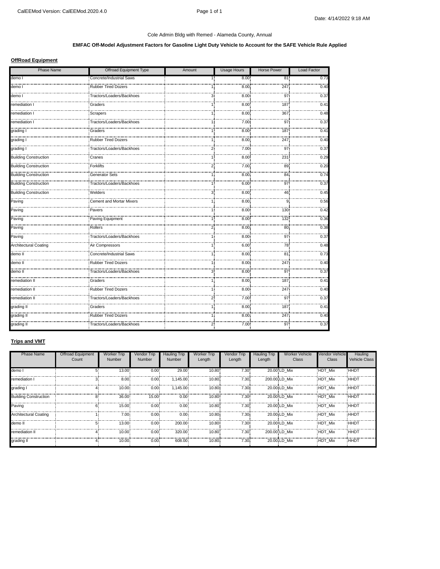# **EMFAC Off-Model Adjustment Factors for Gasoline Light Duty Vehicle to Account for the SAFE Vehicle Rule Applied**

# **OffRoad Equipment**

| <b>Phase Name</b>            | Offroad Equipment Type          | Amount       | <b>Usage Hours</b> | <b>Horse Power</b> | Load Factor |
|------------------------------|---------------------------------|--------------|--------------------|--------------------|-------------|
| demo l                       | Concrete/Industrial Saws        |              | 8.00               | 81                 | 0.73        |
| demo l                       | <b>Rubber Tired Dozers</b>      |              | 8.00               | 247                | 0.40        |
| .<br>demo l                  | Tractors/Loaders/Backhoes       | 3.           | 8.00               | 97                 | 0.37        |
| remediation I                | Graders                         |              | 8.00               | 187                | 0.41        |
| remediation I                | Scrapers                        |              | 8.00               | 367                | 0.48        |
| .<br>remediation I           | Tractors/Loaders/Backhoes       |              | 7.00               | 97                 | 0.37        |
| grading I                    | Graders                         |              | 8.00               | 187                | 0.41        |
| grading I                    | <b>Rubber Tired Dozers</b>      |              | 8.00               | 247                | 0.40        |
| grading I                    | Tractors/Loaders/Backhoes       | 2.           | 7.00               | 97                 | 0.37        |
| <b>Building Construction</b> | Cranes                          |              | 8.00               | 231                | 0.29        |
| <b>Building Construction</b> | Forklifts                       | 2.           | 7.00               | 89                 | 0.20        |
| Building Construction        | <b>Generator Sets</b>           |              | 8.00               | 84                 | 0.74        |
| <b>Building Construction</b> | Tractors/Loaders/Backhoes       |              | 6.00.              | 97                 | 0.37        |
| <b>Building Construction</b> | Welders                         | 3.           | 8.00               | 46                 | 0.45        |
| Paving                       | <b>Cement and Mortar Mixers</b> |              | 8.00               | 9                  | 0.56        |
| Paving                       | Pavers                          |              | 8.00               | 130                | 0.42        |
| Paving                       | Paving Equipment                |              | 8.00               | 132                | 0.36        |
| Paving                       | Rollers                         | 2.           | 8.00               | 80                 | 0.38        |
| Paving                       | Tractors/Loaders/Backhoes       |              | 8.00               | 97                 | 0.37        |
| <b>Architectural Coating</b> | Air Compressors                 |              | 6.00               | 78                 | 0.48        |
| demo II                      | Concrete/Industrial Saws        |              | 8.00               | 81                 | 0.73        |
| demo II                      | <b>Rubber Tired Dozers</b>      |              | 8.00               | 247                | 0.40        |
| demo II                      | Tractors/Loaders/Backhoes       | 3.           | 8.00               | 97                 | 0.37        |
| remediation II               | Graders                         | 1:           | 8.00               | 187                | 0.41        |
| remediation II               | <b>Rubber Tired Dozers</b>      | 1:           | 8.00               | 247                | 0.40        |
| remediation II               | Tractors/Loaders/Backhoes       | $\mathbf{2}$ | 7.00               | 97                 | 0.37        |
| grading II                   | Graders                         |              | 8.00               | 187                | 0.41        |
| grading II                   | <b>Rubber Tired Dozers</b>      | 1:           | 8.00               | 247                | <br>0.40    |
| grading II                   | Tractors/Loaders/Backhoes       | 2.           | 7.00               | 97                 | 0.37        |

#### **Trips and VMT**

| Phase Name                   | Offroad Equipment<br>Count | Worker Trip<br>Number | Vendor Trip<br>Number | Hauling Trip<br>Number | <b>Worker Trip</b><br>Length | Vendor Trip<br>Length | Hauling Trip<br>Length | <b>Worker Vehicle</b><br>Class | <b>Vendor Vehicle</b><br>Class | Hauling<br>Vehicle Class |
|------------------------------|----------------------------|-----------------------|-----------------------|------------------------|------------------------------|-----------------------|------------------------|--------------------------------|--------------------------------|--------------------------|
| demo I                       |                            | 13.00                 | 0.00                  | 29.00                  | 10.80                        | 7.30:                 |                        | 20.00 LD Mix                   | <b>HDT Mix</b>                 | <b>HHD</b>               |
| remediation I                |                            | 8.00                  | 0.00                  | 1.145.00               | 10.80                        | 7.30                  |                        | 200.00 LD Mix                  | HDT Mix                        | <b>HHDT</b>              |
| grading I                    |                            | 10.00                 | 0.00                  | 1,145.00               | 10.80                        | 7.30                  |                        | 20.00 LD Mix                   | <b>HDT Mix</b>                 | HHDT                     |
| <b>Building Construction</b> |                            | 36.00                 | 15.00                 | 0.00.                  | 10.80                        | 7.30                  |                        | 20.00 LD Mix                   | HDT Mix                        | HHD <sub>1</sub>         |
| Paving                       |                            | 15.00                 | $0.00 -$              | $0.00 -$               | 10.80                        | 7.30 <sup>°</sup>     |                        | 20.00 LD Mix                   | <b>HDT Mix</b>                 | <b>HHDT</b>              |
| Architectural Coating        |                            | 7.00.                 | 0.00                  | 0.00                   | 10.80                        | 7.30                  |                        | 20.00 LD Mix                   | HDT Mix                        | HHDT                     |
| demo II                      |                            | $13.00 -$             | 0.00                  | 200.00                 | 10.80                        | 7.30:                 |                        | 20.00 LD Mix                   | HDT Mix                        | <b>HHD1</b>              |
| remediation II               |                            | 10.00                 | 0.00                  | 320.00                 | 10.80                        | 7.30                  |                        | 200.00 LD Mix                  | HDT Mix                        | <b>HHDT</b>              |
| grading II                   |                            | 10.00                 | $0.00 -$              | 608.00                 | 10.80                        | $7.30 -$              |                        | 20.00 LD Mix                   | HDT Mix                        | <b>HHDT</b>              |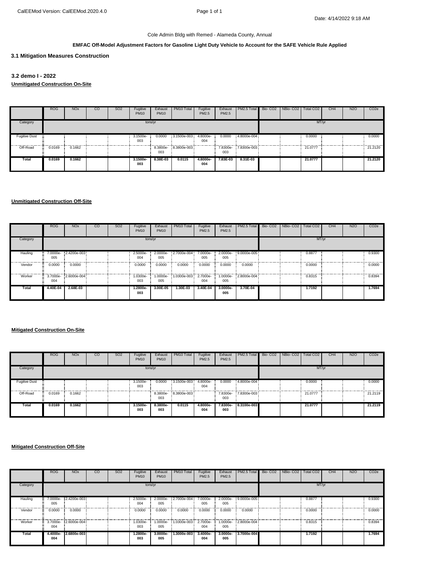# **EMFAC Off-Model Adjustment Factors for Gasoline Light Duty Vehicle to Account for the SAFE Vehicle Rule Applied**

**3.1 Mitigation Measures Construction**

# **3.2 demo I - 2022**

**Unmitigated Construction On-Site**

|                      | <b>ROG</b>    | <b>NO<sub>x</sub></b> | CO | SO <sub>2</sub> | Fugitive<br><b>PM10</b> | Exhaust<br><b>PM10</b> | PM10 Total           | Fugitive<br>PM2.5 | Exhaust<br>PM2.5 | PM2.5 Total         | Bio- CO2   NBio- CO2   Total CO2 |         | CH <sub>4</sub> | <b>N2O</b> | CO <sub>2e</sub> |
|----------------------|---------------|-----------------------|----|-----------------|-------------------------|------------------------|----------------------|-------------------|------------------|---------------------|----------------------------------|---------|-----------------|------------|------------------|
| Category             |               |                       |    |                 | tons/yr                 |                        |                      |                   |                  |                     |                                  | MT/yr   |                 |            |                  |
| <b>Fugitive Dust</b> |               |                       |    |                 | 3.1500e-<br>003         | 0.0000                 | 3.1500e-003 4.8000e- | 004               | 0.0000           | 4.8000e-004         |                                  | 0.0000  |                 |            | 0.0000<br>.      |
| Off-Road             | 0.0169<br>-77 | 0.1662                |    |                 |                         | 003                    | 8.3800e-8.3800e-003  |                   | 003              | 7.8300e-7.8300e-003 |                                  | 21.0777 |                 |            | 21.2120          |
| Total                | 0.0169        | 0.1662                |    |                 | 3.1500e-<br>003         | 8.38E-03               | 0.0115               | 4.8000e-<br>004   | 7.83E-03         | 8.31E-03            |                                  | 21.0777 |                 |            | 21.2120          |

# **Unmitigated Construction Off-Site**

|          | <b>ROG</b> | <b>NO<sub>x</sub></b> | <sub>CO</sub> | SO <sub>2</sub> | Fugitive<br><b>PM10</b> | Exhaust<br><b>PM10</b> | PM10 Total           | Fugitive<br><b>PM2.5</b> | Exhaust<br>PM2.5  | PM2.5 Total                 | Bio-CO <sub>2</sub> | NBio-CO <sub>2</sub> | Total CO <sub>2</sub> | CH <sub>4</sub> | N <sub>2</sub> O | CO <sub>2e</sub> |
|----------|------------|-----------------------|---------------|-----------------|-------------------------|------------------------|----------------------|--------------------------|-------------------|-----------------------------|---------------------|----------------------|-----------------------|-----------------|------------------|------------------|
| Category |            |                       |               |                 |                         | tons/yr                |                      |                          |                   |                             |                     |                      | MT/yr                 |                 |                  |                  |
| Hauling  | 005        | 7.0000e-2.4200e-003   |               |                 | 2.5000e-<br>004         | 2.0000e-<br>005        | 2.7000e-004          | 005                      | 005               | 7.0000e-2.0000e-9.0000e-005 |                     |                      | 0.8877                |                 |                  | 0.9300           |
| Vendor   | 0.0000     | 0.0000                |               |                 | 0.0000                  | 0.0000                 | 0.0000               | 0.0000                   | 0.0000            | 0.0000                      |                     |                      | 0.0000                |                 |                  | 0.0000           |
| Worker   | 004        | 3.7000e-2.6000e-004   |               |                 | 1.0300e-<br>003         | 1.0000e-<br>005        | 1.0300e-003 2.7000e- | 004                      | 005               | 1.0000e-2.8000e-004         |                     |                      | 0.8315                |                 |                  | 0.8394           |
| Total    | 4.40E-04   | 2.68E-03              |               |                 | 1.2800e-<br>003         | 3.00E-05               | 1.30E-03             | 3.40E-04                 | $3.0000e-$<br>005 | 3.70E-04                    |                     |                      | 1.7192                |                 |                  | 1.7694           |

**Mitigated Construction On-Site**

|                      | <b>ROG</b> | <b>NO<sub>x</sub></b> | <sub>co</sub> | SO <sub>2</sub> | Fugitive<br><b>PM10</b> | Exhaust<br><b>PM10</b> | PM10 Total           | Fugitive<br>PM2.5 | Exhaust<br>PM2.5 | PM2.5 Total          | Bio- CO2 NBio- CO2 | Total CO <sub>2</sub> | CH <sub>4</sub> | N <sub>2</sub> O | CO <sub>2</sub> e |
|----------------------|------------|-----------------------|---------------|-----------------|-------------------------|------------------------|----------------------|-------------------|------------------|----------------------|--------------------|-----------------------|-----------------|------------------|-------------------|
| Category             |            |                       |               |                 |                         | tons/yr                |                      |                   |                  |                      |                    | MT/yr                 |                 |                  |                   |
| <b>Fugitive Dust</b> |            |                       |               |                 | 3.1500e-<br>003         | 0.0000                 | 3.1500e-003 4.8000e- | 004               | 0.0000           | 4,8000e-004          |                    | 0.0000                |                 |                  | 0.0000            |
| Off-Road             | 0.0169     | 0.1662                |               |                 |                         | 003                    | 8.3800e-8.3800e-003  |                   | 003              | 7.8300e- 7.8300e-003 |                    | 21.0777               |                 |                  | 21.2119           |
| Total                | 0.0169     | 0.1662                |               |                 | 3.1500e-<br>003         | 8.3800e-<br>003        | 0.0115               | 4.8000e-<br>004   | 7.8300e-<br>003  | 8.3100e-003          |                    | 21.0777               |                 |                  | 21.2119           |

|          | <b>ROG</b>      | <b>NO<sub>x</sub></b> | $_{\rm CO}$ | SO <sub>2</sub> | Fugitive<br><b>PM10</b> | Exhaust<br><b>PM10</b> | PM10 Total           | Fugitive<br>PM2.5 | Exhaust<br>PM2.5  | PM2.5 Total         | Bio- CO2 NBio- CO2 Total CO2 |        | CH <sub>4</sub> | N <sub>2</sub> O | CO <sub>2</sub> e |
|----------|-----------------|-----------------------|-------------|-----------------|-------------------------|------------------------|----------------------|-------------------|-------------------|---------------------|------------------------------|--------|-----------------|------------------|-------------------|
| Category |                 |                       |             |                 | tons/yr                 |                        |                      |                   |                   |                     |                              | MT/yr  |                 |                  |                   |
| Hauling  | 7.0000e-<br>005 | 2.4200e-003           |             |                 | 2.5000e-<br>004         | 2.0000e-<br>005        | 2,7000e-004          | 7.0000e-<br>005   | 005               | 2,0000e-9,0000e-005 |                              | 0.8877 |                 |                  | 0.9300            |
| Vendor   | 0.0000          | 0.0000                |             |                 | 0.0000                  | 0.0000                 | 0.0000               | 0.0000            | 0.0000            | 0.0000              |                              | 0.0000 |                 |                  | 0.0000            |
| Worker   | 004             | 3.7000e-2.6000e-004   |             |                 | -0300e.<br>003          | 1.0000e-<br>005        | 1.0300e-003 2.7000e- | 004               | 005               | 1.0000e-2.8000e-004 |                              | 0.8315 |                 |                  | 0.8394            |
| Total    | 4.4000e-<br>004 | 2.6800e-003           |             |                 | 1.2800e-<br>003         | 3.0000e-<br>005        | 1.3000e-003          | 3.4000e-<br>004   | $3.0000e-$<br>005 | 3.7000e-004         |                              | 1.7192 |                 |                  | 1.7694            |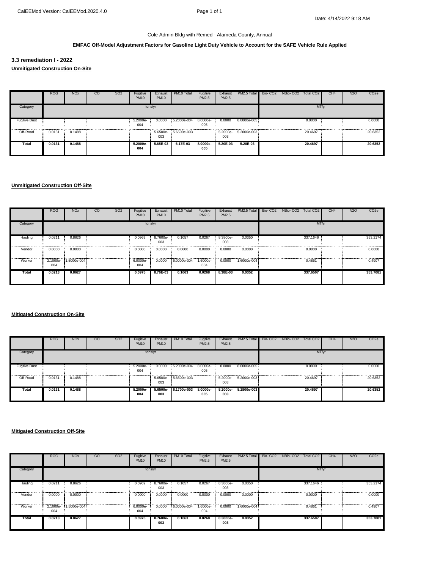#### **EMFAC Off-Model Adjustment Factors for Gasoline Light Duty Vehicle to Account for the SAFE Vehicle Rule Applied**

**3.3 remediation I - 2022 Unmitigated Construction On-Site**

|                      | <b>ROG</b> | <b>NO<sub>x</sub></b> | CO | SO <sub>2</sub> | Fugitive<br><b>PM10</b> | Exhaust<br><b>PM10</b> | PM10 Total            | Fugitive<br>PM2.5 | Exhaust<br>PM2.5 | PM2.5 Total          | Bio- CO2 NBio- CO2   Total CO2 |         | CH <sub>4</sub> | <b>N2O</b> | CO <sub>2e</sub> |
|----------------------|------------|-----------------------|----|-----------------|-------------------------|------------------------|-----------------------|-------------------|------------------|----------------------|--------------------------------|---------|-----------------|------------|------------------|
| Category             |            |                       |    |                 | tons/yr                 |                        |                       |                   |                  |                      |                                | MT/yr   |                 |            |                  |
| <b>Fugitive Dust</b> |            |                       |    |                 | 5.2000e-<br>004         | 0.0000                 | $5.2000e-004$ 8.0000e | 005               | 0.0000           | 8.0000e-005          |                                | 0.0000  |                 |            | 0.0000           |
| Off-Road             | 0.0131     | 0.1488                |    |                 |                         | 003                    | 5.6500e- 5.6500e-003  |                   | 003              | 5.2000e- 5.2000e-003 |                                | 20.4697 |                 |            | 20.6352          |
| <b>Total</b>         | 0.0131     | 0.1488                |    |                 | 5.2000e-<br>004         | 5.65E-03               | 6.17E-03              | 8.0000e-<br>005   | 5.20E-03         | 5.28E-03             |                                | 20.4697 |                 |            | 20.6352          |

#### **Unmitigated Construction Off-Site**

|          | <b>ROG</b> | <b>NO<sub>x</sub></b> | $_{\rm CO}$ | SO <sub>2</sub> | Fugitive<br><b>PM10</b> | Exhaust<br><b>PM10</b> | PM10 Total  | Fugitive<br>PM2.5 | Exhaust<br>PM2.5 | PM2.5 Total        | Bio-CO2   NBio-CO2 | Total CO <sub>2</sub> | CH <sub>4</sub> | N <sub>2</sub> O | CO <sub>2e</sub> |
|----------|------------|-----------------------|-------------|-----------------|-------------------------|------------------------|-------------|-------------------|------------------|--------------------|--------------------|-----------------------|-----------------|------------------|------------------|
| Category |            |                       |             |                 |                         | tons/yr                |             |                   |                  |                    |                    | MT/yr                 |                 |                  |                  |
| Hauling  | 0.0211     | 0.8626                |             |                 | 0.0969                  | 8.7600e-<br>003        | 0.1057      | 0.0267            | 8.3800e-<br>003  | 0.0350             |                    | 337.1646              |                 |                  | 353.2174         |
| Vendor   | 0.0000     | 0.0000                |             |                 | 0.0000                  | 0.0000                 | 0.0000      | 0.0000            | 0.0000           | 0.0000             |                    | 0.0000                |                 |                  | 0.0000           |
| Worker   | 004        | 2.1000e- 1.5000e-004  |             |                 | 6.0000e-<br>004         | 0.0000                 | 6.0000e-004 | 1.6000e-<br>004   |                  | 0.0000 1.6000e-004 |                    | 0.4861                |                 |                  | 0.4907           |
| Total    | 0.0213     | 0.8627                |             |                 | 0.0975                  | 8.76E-03               | 0.1063      | 0.0268            | 8.38E-03         | 0.0352             |                    | 337.6507              |                 |                  | 353.7081         |

# **Mitigated Construction On-Site**

|                      | <b>ROG</b> | <b>NO<sub>x</sub></b> | CO | SO <sub>2</sub> | Fugitive<br><b>PM10</b> | Exhaust<br><b>PM10</b> | PM10 Total               | Fugitive<br>PM2.5 | Exhaust<br>PM2.5 | PM2.5 Total Bio- CO2 NBio- CO2   Total CO2 |  |         | CH <sub>4</sub> | <b>N2O</b> | CO <sub>2</sub> e |
|----------------------|------------|-----------------------|----|-----------------|-------------------------|------------------------|--------------------------|-------------------|------------------|--------------------------------------------|--|---------|-----------------|------------|-------------------|
| Category             |            |                       |    |                 | tons/yr                 |                        |                          |                   |                  |                                            |  | MT/yr   |                 |            |                   |
| <b>Fugitive Dust</b> |            |                       |    |                 | 5.2000e-<br>004         | 0.0000                 | $5.2000e-004$ $8.0000e-$ | 005               | 0.0000           | 8.0000e-005                                |  | 0.0000  |                 |            | 0.0000            |
| Off-Road             | 0.0131     | 0.1488                |    |                 |                         | 5.6500e-<br>003        | 5.6500e-003              |                   | 003              | 5.2000e- 5.2000e-003                       |  | 20.4697 |                 |            | 20.6352           |
| Total                | 0.0131     | 0.1488                |    |                 | 5.2000e-<br>004         | 5.6500e-<br>003        | 6.1700e-003              | 8.0000e-<br>005   | 5.2000e-<br>003  | 5.2800e-003                                |  | 20.4697 |                 |            | 20.6352           |

|          | <b>ROG</b> | <b>NO<sub>x</sub></b> | CO | SO <sub>2</sub> | Fugitive<br><b>PM10</b> | Exhaust<br><b>PM10</b> | PM10 Total  | Fugitive<br>PM2.5 | Exhaust<br>PM2.5 | PM2.5 Total          | Bio- CO2   NBio- CO2   Total CO2 |          | CH <sub>4</sub> | <b>N2O</b> | CO <sub>2</sub> e |
|----------|------------|-----------------------|----|-----------------|-------------------------|------------------------|-------------|-------------------|------------------|----------------------|----------------------------------|----------|-----------------|------------|-------------------|
| Category |            |                       |    |                 |                         | tons/yr                |             |                   |                  |                      |                                  | MT/yr    |                 |            |                   |
| Hauling  | 0.0211     | 0.8626                |    |                 | 0.0969                  | 8.7600e-<br>003        | 0.1057      | 0.0267            | 8.3800e-<br>003  | 0.0350               |                                  | 337.1646 |                 |            | 353.2174          |
| Vendor   | 0.0000     | 0.0000                |    |                 | 0.0000                  | 0.0000                 | 0.0000      | 0.0000            | 0.0000           | 0.0000               |                                  | 0.0000   |                 |            | 0.0000            |
| Worker   | 004        | 2.1000e-1.5000e-004   |    |                 | 6.0000e-<br>004         | 0.0000                 | 6.0000e-004 | 1.6000e-<br>004   |                  | $0.0000$ 1.6000e-004 |                                  | 0.4861   |                 |            | 0.4907            |
| Total    | 0.0213     | 0.8627                |    |                 | 0.0975                  | 8.7600e-<br>003        | 0.1063      | 0.0268            | 8.3800e-<br>003  | 0.0352               |                                  | 337.6507 |                 |            | 353.7081          |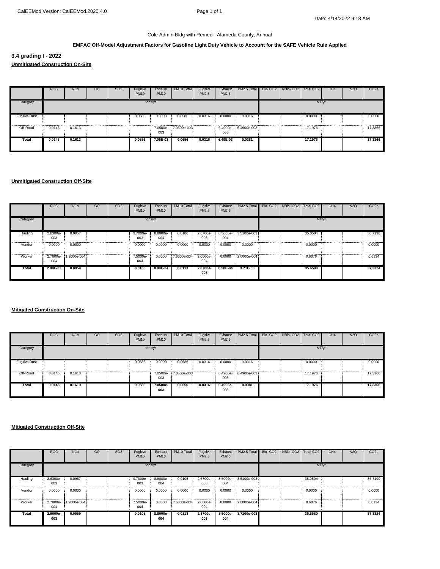#### **EMFAC Off-Model Adjustment Factors for Gasoline Light Duty Vehicle to Account for the SAFE Vehicle Rule Applied**

**3.4 grading I - 2022 Unmitigated Construction On-Site**

|                      | <b>ROG</b> | <b>NO<sub>x</sub></b> | CO | <b>SO2</b> | Fugitive<br><b>PM10</b> | Exhaust<br><b>PM10</b> | PM10 Total           | Fugitive<br>PM2.5 | Exhaust<br>PM2.5 | PM2.5 Total          | Bio- CO2   NBio- CO2   Total CO2 |         | CH4   | <b>N2O</b> | CO <sub>2</sub> e |
|----------------------|------------|-----------------------|----|------------|-------------------------|------------------------|----------------------|-------------------|------------------|----------------------|----------------------------------|---------|-------|------------|-------------------|
| Category             |            |                       |    |            |                         | tons/yr                |                      |                   |                  |                      |                                  |         | MT/yr |            |                   |
| <b>Fugitive Dust</b> |            |                       |    |            | 0.0586                  | 0.0000                 | 0.0586               | 0.0316            | 0.0000           | 0.0316               |                                  | 0.0000  |       | .          | 0.0000<br>.       |
| Off-Road             | 0.0146     | 0.1613                |    |            |                         | 003                    | 7.0500e- 7.0500e-003 |                   | 003              | 6.4900e- 6.4900e-003 |                                  | 17.1976 |       |            | 17.3366           |
| Total                | 0.0146     | 0.1613                |    |            | 0.0586                  | 7.05E-03               | 0.0656               | 0.0316            | 6.49E-03         | 0.0381               |                                  | 17.1976 |       |            | 17.3366           |

#### **Unmitigated Construction Off-Site**

|          | <b>ROG</b>      | <b>NO<sub>x</sub></b> | $_{\rm CO}$ | S <sub>O</sub> 2 | Fugitive<br><b>PM10</b> | Exhaust<br><b>PM10</b> | PM <sub>10</sub> Total | Fugitive<br>PM2.5 | Exhaust<br>PM2.5 | PM2.5 Total          | Bio-CO <sub>2</sub> | NBio-CO <sub>2</sub> | Total CO <sub>2</sub> | CH <sub>4</sub> | N <sub>2</sub> O | CO <sub>2</sub> e |
|----------|-----------------|-----------------------|-------------|------------------|-------------------------|------------------------|------------------------|-------------------|------------------|----------------------|---------------------|----------------------|-----------------------|-----------------|------------------|-------------------|
| Category |                 |                       |             |                  | tons/yr                 |                        |                        |                   |                  |                      |                     |                      | MT/yr                 |                 |                  |                   |
| Hauling  | 2.6300e-<br>003 | 0.0957                |             |                  | 9.7000e-<br>003         | 8.8000e-<br>004        | 0.0106                 | 2.6700e-<br>003   | 004              | 8.5000e- 3.5100e-003 |                     |                      | 35.0504               |                 |                  | 36.7190           |
| Vendor   | 0.0000          | 0.0000                |             |                  | 0.0000                  | 0.0000                 | 0.0000                 | 0.0000            | 0.0000           | 0.0000               |                     |                      | 0.0000                |                 |                  | 0.0000            |
| Worker   | 004             | 2.7000e- 1.9000e-004  |             |                  | 7.5000e-<br>004         | 0.0000                 | 7.6000e-004 2.0000e-   | 004               |                  | 0.0000 2.0000e-004   |                     |                      | 0.6076                |                 |                  | 0.6134            |
| Total    | 2.90E-03        | 0.0959                |             |                  | 0.0105                  | 8.80E-04               | 0.0113                 | 2.8700e-<br>003   | 8.50E-04         | 3.71E-03             |                     |                      | 35.6580               |                 |                  | 37.3324           |

#### **Mitigated Construction On-Site**

|                      | <b>ROG</b> | <b>NO<sub>x</sub></b> | CO | <b>SO2</b> | Fugitive<br><b>PM10</b> | Exhaust<br><b>PM10</b> | PM10 Total          | Fugitive<br><b>PM2.5</b> | Exhaust<br>PM2.5 | PM2.5 Total Bio-CO2 NBio-CO2 Total CO2 |  |         | CH <sub>4</sub> | N <sub>2</sub> O | CO <sub>2</sub> e |
|----------------------|------------|-----------------------|----|------------|-------------------------|------------------------|---------------------|--------------------------|------------------|----------------------------------------|--|---------|-----------------|------------------|-------------------|
| Category             |            |                       |    |            | tons/yr                 |                        |                     |                          |                  |                                        |  | MT/yr   |                 |                  |                   |
| <b>Fugitive Dust</b> |            |                       |    |            | 0.0586                  | 0.0000                 | 0.0586              | 0.0316                   | 0.0000           | 0.0316                                 |  | 0.0000  |                 |                  | 0.0000            |
| Off-Road             | 0.0146     | 0.1613                |    |            |                         | 003                    | 7.0500e-7.0500e-003 |                          | 003              | 6.4900e- 6.4900e-003                   |  | 17.1976 |                 |                  | 17,3366           |
| Total                | 0.0146     | 0.1613                |    |            | 0.0586                  | 7.0500e-<br>003        | 0.0656              | 0.0316                   | 6.4900e-<br>003  | 0.0381                                 |  | 17.1976 |                 |                  | 17.3366           |

|          | <b>ROG</b>      | <b>NO<sub>x</sub></b> | $_{\rm CO}$ | SO <sub>2</sub> | Fugitive<br><b>PM10</b> | Exhaust<br><b>PM10</b> | PM10 Total  | Fugitive<br>PM2.5 | Exhaust<br>PM2.5 | PM2.5 Total Bio-CO2 NBio-CO2 Total CO2 |  |         | CH <sub>4</sub> | N <sub>2</sub> O | CO <sub>2</sub> e |
|----------|-----------------|-----------------------|-------------|-----------------|-------------------------|------------------------|-------------|-------------------|------------------|----------------------------------------|--|---------|-----------------|------------------|-------------------|
| Category |                 |                       |             |                 |                         | tons/yr                |             |                   |                  |                                        |  | MT/yr   |                 |                  |                   |
| Hauling  | 2.6300e-<br>003 | 0.0957                |             |                 | 9.7000e-<br>003         | 8.8000e-<br>004        | 0.0106      | 2.6700e-<br>003   | 004              | 8.5000e- 3.5100e-003                   |  | 35,0504 |                 |                  | 36,7190           |
| Vendor   | 0.0000          | 0.0000                |             |                 | 0.0000                  | 0.0000                 | 0.0000      | 0.0000            | 0.0000           | 0.0000                                 |  | 0.0000  |                 |                  | 0.0000            |
| Worker   | 2.7000e-<br>004 | 1.9000e-004           |             |                 | 7.5000e-<br>004         | 0.0000                 | 7.6000e-004 | 2.0000e-<br>004   |                  | 0.0000 2.0000e-004                     |  | 0.6076  |                 |                  | 0.6134            |
| Total    | 2.9000e-<br>003 | 0.0959                |             |                 | 0.0105                  | 8.8000e-<br>004        | 0.0113      | 2.8700e-<br>003   | 8.5000e-<br>004  | 3.7100e-003                            |  | 35.6580 |                 |                  | 37.3324           |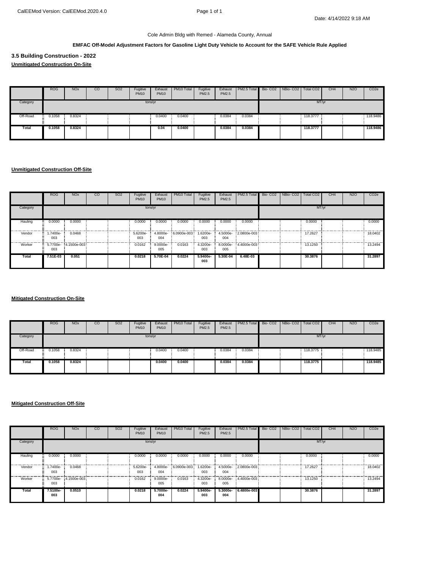#### **EMFAC Off-Model Adjustment Factors for Gasoline Light Duty Vehicle to Account for the SAFE Vehicle Rule Applied**

**3.5 Building Construction - 2022**

**Unmitigated Construction On-Site**

|          | <b>ROG</b>     | <b>NO<sub>x</sub></b> | CO | SO <sub>2</sub> | Fugitive<br><b>PM10</b> | Exhaust<br><b>PM10</b> | PM10 Total | Fugitive<br>PM2.5 | Exhaust<br>PM2.5 | PM2.5 Total Bio-CO2 NBio-CO2 Total CO2 |  |          | CH <sub>4</sub> | N <sub>2</sub> O | CO <sub>2</sub> e |
|----------|----------------|-----------------------|----|-----------------|-------------------------|------------------------|------------|-------------------|------------------|----------------------------------------|--|----------|-----------------|------------------|-------------------|
| Category |                |                       |    |                 | tons/yr                 |                        |            |                   |                  |                                        |  | MT/yr    |                 |                  |                   |
| Off-Road | 0.1058<br>- 22 | 0.8324                |    |                 |                         | 0.0400                 | 0.0400     |                   | 0.0384           | 0.0384                                 |  | 118.3777 |                 |                  | 118.9486          |
| Total    | 0.1058         | 0.8324                |    |                 |                         | 0.04                   | 0.0400     |                   | 0.0384           | 0.0384                                 |  | 118,3777 |                 |                  | 118.9486          |

#### **Unmitigated Construction Off-Site**

|          | <b>ROG</b>     | <b>NO<sub>x</sub></b> | CO | SO <sub>2</sub> | Fugitive<br><b>PM10</b> | Exhaust<br><b>PM10</b> | PM10 Total  | Fugitive<br>PM2.5 | Exhaust<br>PM2.5 | PM2.5 Total          | Bio-CO2 NBio-CO2 | Total CO <sub>2</sub> | CH <sub>4</sub> | <b>N2O</b> | CO <sub>2</sub> e         |
|----------|----------------|-----------------------|----|-----------------|-------------------------|------------------------|-------------|-------------------|------------------|----------------------|------------------|-----------------------|-----------------|------------|---------------------------|
| Category |                |                       |    |                 |                         | tons/yr                |             |                   |                  |                      |                  | MT/yr                 |                 |            |                           |
| Hauling  | 0.0000         | 0.0000                |    |                 | 0.0000                  | 0.0000                 | 0.0000      | 0.0000            | 0.0000           | 0.0000               |                  | 0.0000                |                 |            | 0.0000                    |
| Vendor   | .7400e-<br>003 | 0.0468                |    |                 | 5.6200e-<br>003         | 4.8000e-<br>004        | 6.0900e-003 | 1.6200e-<br>003   | 4.5000e-<br>004  | 2.0800e-003          |                  | 17.2627               |                 |            | --------------<br>18.0402 |
| Worker   | 003            | 5.7700e- 4.1500e-003  |    |                 | 0.0162                  | 9.0000e-<br>005        | 0.0163      | 4.3200e-<br>003   | 005              | 8.0000e- 4.4000e-003 |                  | 13.1250               |                 |            | .<br>13.2494              |
| Total    | 7.51E-03       | 0.051                 |    |                 | 0.0218                  | 5.70E-04               | 0.0224      | 5.9400e-<br>003   | 5.30E-04         | 6.48E-03             |                  | 30.3876               |                 |            | 31.2897                   |

**Mitigated Construction On-Site**

|          | <b>ROG</b> | <b>NO<sub>x</sub></b> | $_{\rm CO}$ | SO <sub>2</sub> | Fugitive<br><b>PM10</b> | Exhaust<br><b>PM10</b> | PM10 Total | Fugitive<br>PM2.5 | Exhaust<br>PM2.5 | PM2.5 Total Bio-CO2 | NBio-CO2   Total CO2 |          | CH <sub>4</sub> | N <sub>2</sub> O | CO <sub>2</sub> e |
|----------|------------|-----------------------|-------------|-----------------|-------------------------|------------------------|------------|-------------------|------------------|---------------------|----------------------|----------|-----------------|------------------|-------------------|
| Category |            |                       |             |                 | tons/yr                 |                        |            |                   |                  |                     |                      | MT/yr    |                 |                  |                   |
| Off-Road | 0.1058     | 0.8324                |             |                 |                         | 0.0400                 | 0.0400     |                   | 0.0384           | 0.0384              |                      | 118.3775 |                 |                  | 118.9485          |
| Total    | 0.1058     | 0.8324                |             |                 |                         | 0.0400                 | 0.0400     |                   | 0.0384           | 0.0384              |                      | 118.3775 |                 |                  | 118.9485          |

|          | <b>ROG</b>      | <b>NO<sub>x</sub></b> | $_{\rm CO}$ | SO <sub>2</sub> | Fugitive<br><b>PM10</b> | Exhaust<br><b>PM10</b> | PM10 Total  | Fugitive<br>PM2.5 | Exhaust<br>PM2.5 | PM2.5 Total                   | Bio-CO2 NBio-CO2 | Total CO <sub>2</sub> | CH <sub>4</sub> | N <sub>2</sub> O | CO <sub>2</sub> e |
|----------|-----------------|-----------------------|-------------|-----------------|-------------------------|------------------------|-------------|-------------------|------------------|-------------------------------|------------------|-----------------------|-----------------|------------------|-------------------|
| Category |                 |                       |             |                 | tons/yr                 |                        |             |                   |                  |                               |                  | MT/yr                 |                 |                  |                   |
| Hauling  | 0.0000          | 0.0000                |             |                 | 0.0000                  | 0.0000                 | 0.0000      | 0.0000            | 0.0000           | 0.0000                        |                  | 0.0000                |                 |                  | 0.0000            |
| Vendor   | 1.7400e-<br>003 | 0.0468                |             |                 | 5.6200e-<br>003         | 4.8000e-<br>004        | 6.0900e-003 | 003               | 004              | 1.6200e- 4.5000e- 2.0800e-003 |                  | 17.2627               |                 |                  | 18,0402           |
| Worker   | 5.7700e-<br>003 | 4.1500e-003           |             |                 | 0.0162                  | 9.0000e-<br>005        | 0.0163      | 4.3200e-<br>003   | 005              | 8.0000e- 4.4000e-003          |                  | 13.1250               |                 |                  | 13.2494           |
| Total    | 7.5100e-<br>003 | 0.0510                |             |                 | 0.0218                  | 5.7000e-<br>004        | 0.0224      | 5.9400e-<br>003   | 5.3000e-<br>004  | 6.4800e-003                   |                  | 30.3876               |                 |                  | 31.2897           |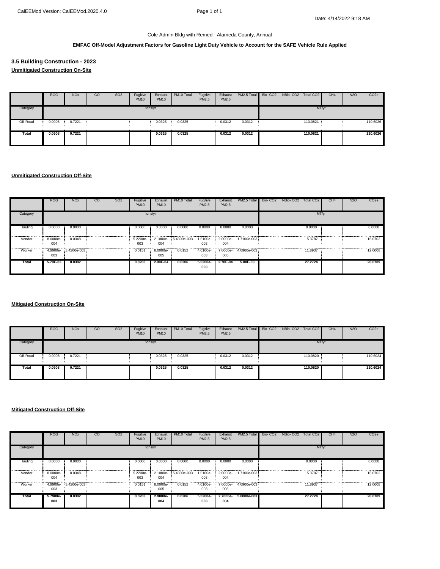#### **EMFAC Off-Model Adjustment Factors for Gasoline Light Duty Vehicle to Account for the SAFE Vehicle Rule Applied**

**3.5 Building Construction - 2023 Unmitigated Construction On-Site**

|          | <b>ROG</b>    | <b>NO<sub>x</sub></b> | <sub>co</sub> | SO <sub>2</sub> | Fugitive<br><b>PM10</b> | Exhaust<br><b>PM10</b> | PM10 Total | Fugitive<br>PM2.5 | Exhaust<br>PM2.5 | PM2.5 Total Bio-CO2 NBio-CO2 Total CO2 |  |            | CH <sub>4</sub> | N <sub>2</sub> O | CO <sub>2</sub> e |
|----------|---------------|-----------------------|---------------|-----------------|-------------------------|------------------------|------------|-------------------|------------------|----------------------------------------|--|------------|-----------------|------------------|-------------------|
| Category |               |                       |               |                 | tons/yr                 |                        |            |                   |                  |                                        |  | MT/yr      |                 |                  |                   |
| Off-Road | 0.0908<br>22. | 0.7221                |               |                 |                         | 0.0325                 | 0.0325     |                   | 0.0312           | 0.0312                                 |  | : 110.0821 |                 |                  | 110.6026          |
| Total    | 0.0908        | 0.7221                |               |                 |                         | 0.0325                 | 0.0325     |                   | 0.0312           | 0.0312                                 |  | 110.0821   |                 |                  | 110.6026          |

#### **Unmitigated Construction Off-Site**

|          | <b>ROG</b>      | <b>NO<sub>x</sub></b> | CO | SO <sub>2</sub> | Fugitive<br><b>PM10</b> | Exhaust<br><b>PM10</b> | PM10 Total  | Fugitive<br><b>PM2.5</b> | Exhaust<br>PM2.5 | PM2.5 Total          | Bio- CO2 NBio- CO2 Total CO2 |         | CH <sub>4</sub> | N <sub>2</sub> O | CO <sub>2</sub> e |
|----------|-----------------|-----------------------|----|-----------------|-------------------------|------------------------|-------------|--------------------------|------------------|----------------------|------------------------------|---------|-----------------|------------------|-------------------|
| Category |                 |                       |    |                 |                         | tons/yr                |             |                          |                  |                      |                              | MT/yr   |                 |                  |                   |
| Hauling  | 0.0000          | 0.0000                |    |                 | 0.0000                  | 0.0000                 | 0.0000      | 0.0000                   | 0.0000           | 0.0000               |                              | 0.0000  |                 |                  | 0.0000            |
| Vendor   | 8.0000e-<br>004 | 0.0348                |    |                 | 5.2200e-<br>003         | 2.1000e-<br>004        | 5.4300e-003 | 1.5100e-<br>003          | 004              | 2.0000e- 1.7100e-003 |                              | 15,3787 |                 |                  | 16.0702           |
| Worker   | 003             | 4.9900e-3.4200e-003   |    |                 | 0.0151                  | 8.0000e-<br>005        | 0.0152      | 4.0100e-<br>003          | 005              | 7.0000e- 4.0900e-003 |                              | 11.8937 |                 |                  | 12,0008           |
| Total    | 5.79E-03        | 0.0382                |    |                 | 0.0203                  | 2.90E-04               | 0.0206      | 5.5200e-<br>003          | 2.70E-04         | 5.80E-03             |                              | 27.2724 |                 |                  | 28.0709           |

# **Mitigated Construction On-Site**

|          | <b>ROG</b> | <b>NO<sub>x</sub></b> | <sub>co</sub> | SO <sub>2</sub> | Fugitive<br><b>PM10</b> | Exhaust<br><b>PM10</b> | PM10 Total | Fugitive<br>PM2.5 | Exhaust<br>PM2.5 | PM2.5 Total | Bio-CO <sub>2</sub> | NBio-CO <sub>2</sub> | Total CO <sub>2</sub> | CH <sub>4</sub> | N <sub>2</sub> O | CO <sub>2</sub> e |
|----------|------------|-----------------------|---------------|-----------------|-------------------------|------------------------|------------|-------------------|------------------|-------------|---------------------|----------------------|-----------------------|-----------------|------------------|-------------------|
| Category |            |                       |               |                 | tons/yr                 |                        |            |                   |                  |             |                     |                      | MT/yr                 |                 |                  |                   |
| Off-Road | 0.0908     | 0.7221                |               |                 |                         | 0.0325                 | 0.0325     |                   | 0.0312           | 0.0312      |                     |                      | 110.0820              |                 |                  | 110.6024          |
| Total    | 0.0908     | 0.7221                |               |                 |                         | 0.0325                 | 0.0325     |                   | 0.0312           | 0.0312      |                     |                      | 110.0820              |                 |                  | 110.6024          |

|          | <b>ROG</b>      | <b>NO<sub>x</sub></b> | <sub>co</sub> | SO <sub>2</sub> | Fugitive<br><b>PM10</b> | Exhaust<br><b>PM10</b> | PM10 Total  | Fugitive<br>PM2.5 | Exhaust<br>PM2.5 | PM2.5 Total          | Bio-CO <sub>2</sub> | NBio-CO <sub>2</sub> | Total CO <sub>2</sub> | CH <sub>4</sub> | N <sub>2</sub> C | CO <sub>2</sub> e |
|----------|-----------------|-----------------------|---------------|-----------------|-------------------------|------------------------|-------------|-------------------|------------------|----------------------|---------------------|----------------------|-----------------------|-----------------|------------------|-------------------|
| Category |                 |                       |               |                 |                         | tons/yr                |             |                   |                  |                      |                     |                      | MT/yr                 |                 |                  |                   |
| Hauling  | 0.0000          | 0.0000                |               |                 | 0.0000                  | 0.0000                 | 0.0000      | 0.0000            | 0.0000           | 0.0000               |                     |                      | 0.0000                |                 |                  | 0.0000            |
| Vendor   | 8.0000e-<br>004 | 0.0348                |               |                 | 5.2200e-<br>003         | 2.1000e-<br>004        | 5.4300e-003 | 1.5100e-<br>003   | 004              | 2.0000e- 1.7100e-003 |                     |                      | 15,3787               |                 |                  | 16.0702           |
| Worker   | 4.9900e-<br>003 | 3.4200e-003           |               |                 | 0.0151                  | 8.0000e-<br>005        | 0.0152      | 4.0100e-<br>003   | 7.0000e-<br>005  | 4.0900e-003          |                     |                      | 11.8937               |                 |                  | 12,0008           |
| Total    | 5.7900e-<br>003 | 0.0382                |               |                 | 0.0203                  | 2.9000e-<br>004        | 0.0206      | 5.5200e-<br>003   | 2.7000e-<br>004  | 5.8000e-003          |                     |                      | 27.2724               |                 |                  | 28,0709           |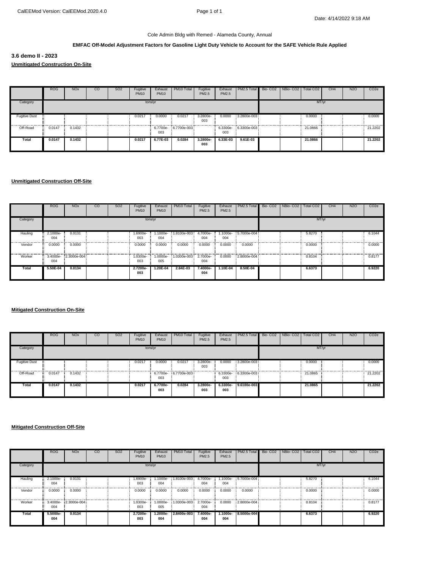#### **EMFAC Off-Model Adjustment Factors for Gasoline Light Duty Vehicle to Account for the SAFE Vehicle Rule Applied**

**3.6 demo II - 2023 Unmitigated Construction On-Site**

|                      | <b>ROG</b> | <b>NO<sub>x</sub></b> | CO | SO <sub>2</sub> | Fugitive<br><b>PM10</b> | Exhaust<br><b>PM10</b> | PM10 Total           | Fugitive<br>PM2.5 | Exhaust<br>PM2.5 | PM2.5 Total          | Bio- CO2 NBio- CO2 Total CO2 |         | CH <sub>4</sub> | <b>N2O</b> | CO <sub>2</sub> e        |
|----------------------|------------|-----------------------|----|-----------------|-------------------------|------------------------|----------------------|-------------------|------------------|----------------------|------------------------------|---------|-----------------|------------|--------------------------|
| Category             |            |                       |    |                 |                         | tons/yr                |                      |                   |                  |                      |                              |         | MT/yr           |            |                          |
| <b>Fugitive Dust</b> |            |                       |    |                 | 0.0217                  | 0.0000                 | 0.0217               | 3.2800e-<br>003   | 0.0000           | 3.2800e-003          | .                            | 0.0000  |                 |            | 0.0000<br>-------------- |
| Off-Road             | 0.0147     | 0.1432                |    |                 |                         | 003                    | 6.7700e- 6.7700e-003 |                   | 003              | 6.3300e- 6.3300e-003 |                              | 21.0866 |                 |            | 21.2202                  |
| Total                | 0.0147     | 0.1432                |    |                 | 0.0217                  | 6.77E-03               | 0.0284               | 3.2800e-<br>003   | $6.33E-03$       | $9.61E - 03$         |                              | 21.0866 |                 |            | 21.2202                  |

#### **Unmitigated Construction Off-Site**

|          | <b>ROG</b>      | <b>NO<sub>x</sub></b> | $_{\rm CO}$ | S <sub>O</sub> 2 | Fugitive<br><b>PM10</b> | Exhaust<br><b>PM10</b> | PM <sub>10</sub> Total | Fugitive<br>PM2.5 | Exhaust<br>PM2.5 | PM2.5 Total          | Bio-CO <sub>2</sub> | NBio-CO <sub>2</sub> | Total CO <sub>2</sub> | CH <sub>4</sub> | N <sub>2</sub> O | CO <sub>2e</sub> |
|----------|-----------------|-----------------------|-------------|------------------|-------------------------|------------------------|------------------------|-------------------|------------------|----------------------|---------------------|----------------------|-----------------------|-----------------|------------------|------------------|
| Category |                 |                       |             |                  | tons/yr                 |                        |                        |                   |                  |                      |                     |                      | MT/yr                 |                 |                  |                  |
| Hauling  | 2.1000e-<br>004 | 0.0131                |             |                  | 1.6900e-<br>003         | 1.1000e-<br>004        | 1.8100e-003            | 4.7000e-<br>004   | 004              | 1.1000e- 5.7000e-004 |                     |                      | 5.8270                |                 |                  | 6.1044           |
| Vendor   | 0.0000          | 0.0000                |             |                  | 0.0000                  | 0.0000                 | 0.0000                 | 0.0000            | 0.0000           | 0.0000               |                     |                      | 0.0000                |                 |                  | 0.0000           |
| Worker   | 004             | 3.4000e-2.3000e-004   |             |                  | 1.0300e-<br>003         | 1.0000e-<br>005        | 1.0300e-003 2.7000e-   | 004               |                  | 0.0000 2.8000e-004   |                     |                      | 0.8104                |                 |                  | 0.8177           |
| Total    | 5.50E-04        | 0.0134                |             |                  | 2.7200e-<br>003         | 1.20E-04               | 2.84E-03               | 7.4000e-<br>004   | 1.10E-04         | 8.50E-04             |                     |                      | 6.6373                |                 |                  | 6.9220           |

#### **Mitigated Construction On-Site**

|                      | <b>ROG</b> | <b>NO<sub>x</sub></b> | CO | <b>SO2</b> | Fugitive<br><b>PM10</b> | Exhaust<br><b>PM10</b> | PM10 Total           | Fugitive<br><b>PM2.5</b> | Exhaust<br>PM2.5 | PM2.5 Total Bio-CO2 NBio-CO2 Total CO2 |  |         | CH <sub>4</sub> | N <sub>2</sub> O | CO <sub>2</sub> e |
|----------------------|------------|-----------------------|----|------------|-------------------------|------------------------|----------------------|--------------------------|------------------|----------------------------------------|--|---------|-----------------|------------------|-------------------|
| Category             |            |                       |    |            | tons/yr                 |                        |                      |                          |                  |                                        |  | MT/yr   |                 |                  |                   |
| <b>Fugitive Dust</b> |            |                       |    |            | 0.0217                  | 0.0000                 | 0.0217               | 3.2800e-<br>003          |                  | 0.0000 3.2800e-003                     |  | 0.0000  |                 |                  | 0.0000            |
| Off-Road             | 0.0147     | 0.1432                |    |            |                         | 003                    | 6.7700e- 6.7700e-003 |                          | 003              | 6.3300e- 6.3300e-003                   |  | 21.0865 |                 |                  | 21.2202           |
| Total                | 0.0147     | 0.1432                |    |            | 0.0217                  | 6.7700e-<br>003        | 0.0284               | 3.2800e-<br>003          | 003              | 6.3300e- 9.6100e-003                   |  | 21.0865 |                 |                  | 21.2202           |

|          | <b>ROG</b>      | <b>NO<sub>x</sub></b> | $_{\rm CO}$ | SO <sub>2</sub> | Fugitive<br><b>PM10</b> | Exhaust<br><b>PM10</b> | PM10 Total  | Fugitive<br>PM2.5 | Exhaust<br>PM2.5  | PM2.5 Total Bio-CO2 NBio-CO2 Total CO2 |  |        | CH <sub>4</sub> | N <sub>2</sub> O | CO <sub>2</sub> e |
|----------|-----------------|-----------------------|-------------|-----------------|-------------------------|------------------------|-------------|-------------------|-------------------|----------------------------------------|--|--------|-----------------|------------------|-------------------|
| Category |                 |                       |             |                 |                         | tons/yr                |             |                   |                   |                                        |  | MT/yr  |                 |                  |                   |
| Hauling  | 2.1000e-<br>004 | 0.0131                |             |                 | 1.6900e-<br>003         | 1.1000e-<br>004        | 1.8100e-003 | 4.7000e-<br>004   | 004               | 1.1000e- 5.7000e-004                   |  | 5.8270 |                 |                  | 6.1044            |
| Vendor   | 0.0000          | 0.0000                |             |                 | 0.0000                  | 0.0000                 | 0.0000      | 0.0000            | 0.0000            | 0.0000                                 |  | 0.0000 |                 |                  | 0.0000            |
| Worker   | 3.4000e-<br>004 | 2.3000e-004           |             |                 | 1.0300e-<br>003         | 1.0000e-<br>005        | 1.0300e-003 | 2.7000e-<br>004   |                   | 0.0000 2.8000e-004                     |  | 0.8104 |                 |                  | 0.8177            |
| Total    | 5.5000e-<br>004 | 0.0134                |             |                 | 2.7200e-<br>003         | 1.2000e-<br>004        | 2.8400e-003 | 7.4000e-<br>004   | $1.1000e-$<br>004 | 8.5000e-004                            |  | 6.6373 |                 |                  | 6.9220            |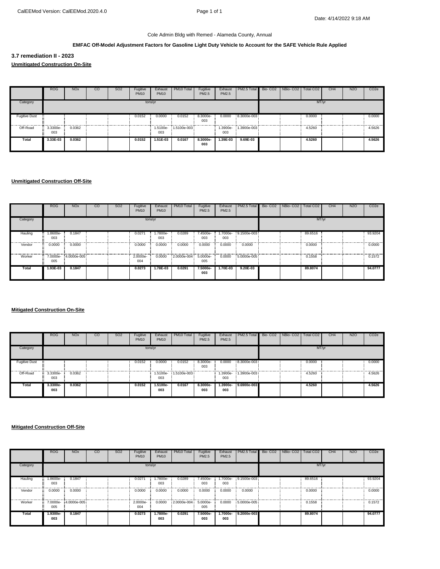### **EMFAC Off-Model Adjustment Factors for Gasoline Light Duty Vehicle to Account for the SAFE Vehicle Rule Applied**

**3.7 remediation II - 2023 Unmitigated Construction On-Site**

|                      | <b>ROG</b>      | <b>NO<sub>x</sub></b> | CO | SO <sub>2</sub> | Fugitive<br><b>PM10</b> | Exhaust<br><b>PM10</b> | PM10 Total           | Fugitive<br>PM2.5 | Exhaust<br>PM2.5 | PM2.5 Total          | Bio- CO2 NBio- CO2   Total CO2 |        | CH4 | <b>N2O</b> | CO <sub>2</sub> e |
|----------------------|-----------------|-----------------------|----|-----------------|-------------------------|------------------------|----------------------|-------------------|------------------|----------------------|--------------------------------|--------|-----|------------|-------------------|
| Category             |                 |                       |    |                 |                         | tons/yr                |                      |                   |                  |                      |                                | MT/yr  |     |            |                   |
| <b>Fugitive Dust</b> |                 |                       |    |                 | 0.0152                  | 0.0000                 | 0.0152               | 8.3000e-<br>003   | 0.0000           | 8.3000e-003          |                                | 0.0000 |     |            | 0.0000            |
| Off-Road             | 3.3300e-<br>003 | 0.0362                |    |                 |                         | 003                    | 1.5100e- 1.5100e-003 |                   | 003              | 1.3900e- 1.3900e-003 |                                | 4.5260 |     |            | 4.5626            |
| Total                | 3.33E-03        | 0.0362                |    |                 | 0.0152                  | 1.51E-03               | 0.0167               | 8.3000e-<br>003   | 1.39E-03         | $9.69E - 03$         |                                | 4.5260 |     |            | 4.5626            |

#### **Unmitigated Construction Off-Site**

|          | <b>ROG</b>      | <b>NO<sub>x</sub></b> | $_{\rm CO}$ | SO <sub>2</sub> | Fugitive<br><b>PM10</b> | Exhaust<br><b>PM10</b> | PM10 Total           | Fugitive<br>PM2.5 | Exhaust<br>PM2.5 | PM2.5 Total          | Bio-CO2 NBio-CO2 | Total CO <sub>2</sub> | CH <sub>4</sub> | N <sub>2</sub> O | CO <sub>2</sub> e |
|----------|-----------------|-----------------------|-------------|-----------------|-------------------------|------------------------|----------------------|-------------------|------------------|----------------------|------------------|-----------------------|-----------------|------------------|-------------------|
| Category |                 |                       |             |                 |                         | tons/yr                |                      |                   |                  |                      |                  | MT/yr                 |                 |                  |                   |
| Hauling  | 1.8600e-<br>003 | 0.1847                |             |                 | 0.0271                  | 1.7800e-<br>003        | 0.0289               | 7.4500e-<br>003   | 003              | 1.7000e- 9.1500e-003 |                  | 89.6516               |                 |                  | 93.9204           |
| Vendor   | 0.0000          | 0.0000                |             |                 | 0.0000                  | 0.0000                 | 0.0000               | 0.0000            | 0.0000           | 0.0000               |                  | 0.0000                |                 |                  | 0.0000            |
| Worker   | 005             | 7.0000e- 4.0000e-005  |             |                 | 2.0000e-<br>004         | 0.0000                 | 2.0000e-004 5.0000e- | 005               |                  | 0.0000 5.0000e-005   |                  | 0.1558                |                 |                  | 0.1572            |
| Total    | 1.93E-03        | 0.1847                |             |                 | 0.0273                  | 1.78E-03               | 0.0291               | 7.5000e-<br>003   | 1.70E-03         | 9.20E-03             |                  | 89.8074               |                 |                  | 94.0777           |

#### **Mitigated Construction On-Site**

|                      | <b>ROG</b>      | <b>NO<sub>x</sub></b> | CO | <b>SO2</b> | Fugitive<br><b>PM10</b> | Exhaust<br><b>PM10</b> | PM10 Total  | Fugitive<br>PM2.5 | PM2.5           | Exhaust   PM2.5 Total   Bio- CO2   NBio- CO2   Total CO2 |  |        | CH4 | N <sub>20</sub> | CO <sub>2</sub> e |
|----------------------|-----------------|-----------------------|----|------------|-------------------------|------------------------|-------------|-------------------|-----------------|----------------------------------------------------------|--|--------|-----|-----------------|-------------------|
| Category             |                 |                       |    |            |                         | tons/yr                |             |                   |                 |                                                          |  | MT/yr  |     |                 |                   |
| <b>Fugitive Dust</b> |                 |                       |    |            | 0.0152                  | 0.0000                 | 0.0152      | $8.3000e-$<br>003 |                 | 0.0000 8.3000e-003                                       |  | 0.0000 |     |                 | 0.0000            |
| Off-Road             | 3.3300e-<br>003 | 0.0362                |    |            |                         | 1.5100e-<br>003        | 1.5100e-003 |                   | 003             | 1.3900e- 1.3900e-003                                     |  | 4.5260 |     |                 | 4.5626            |
| Total                | 3.3300e-<br>003 | 0.0362                |    |            | 0.0152                  | 1.5100e-<br>003        | 0.0167      | 8.3000e-<br>003   | 1.3900e-<br>003 | 9.6900e-003                                              |  | 4.5260 |     |                 | 4.5626            |

|          | <b>ROG</b>      | <b>NO<sub>x</sub></b> | $_{\rm CO}$ | SO <sub>2</sub> | Fugitive<br><b>PM10</b> | Exhaust<br><b>PM10</b> | PM10 Total           | Fugitive<br>PM2.5 | Exhaust<br>PM2.5 | PM2.5 Total Bio-CO2 NBio-CO2 Total CO2 |  |         | CH <sub>4</sub> | N <sub>2</sub> O | CO <sub>2</sub> e |
|----------|-----------------|-----------------------|-------------|-----------------|-------------------------|------------------------|----------------------|-------------------|------------------|----------------------------------------|--|---------|-----------------|------------------|-------------------|
| Category |                 |                       |             |                 |                         | tons/yr                |                      |                   |                  |                                        |  | MT/yr   |                 |                  |                   |
| Hauling  | 1.8600e-<br>003 | 0.1847                |             |                 | 0.0271                  | 1.7800e-<br>003        | 0.0289               | 7.4500e-<br>003   | 003              | 1.7000e- 9.1500e-003                   |  | 89.6516 |                 |                  | 93.9204           |
| Vendor   | 0.0000          | 0.0000                |             |                 | 0.0000                  | 0.0000                 | 0.0000               | 0.0000            | 0.0000           | 0.0000                                 |  | 0.0000  |                 |                  | 0.0000            |
| Worker   | 7.0000e-<br>005 | 4.0000e-005           |             |                 | 2.0000e-<br>004         | 0.0000                 | 2.0000e-004 5.0000e- | 005               |                  | $0.0000$ 5.0000e-005                   |  | 0.1558  |                 |                  | 0.1572            |
| Total    | 1.9300e-<br>003 | 0.1847                |             |                 | 0.0273                  | 1.7800e-<br>003        | 0.0291               | 7.5000e-<br>003   | 1.7000e-<br>003  | 9.2000e-003                            |  | 89.8074 |                 |                  | 94.0777           |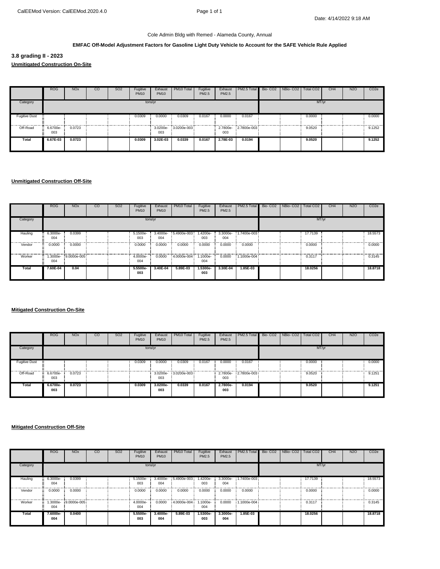#### **EMFAC Off-Model Adjustment Factors for Gasoline Light Duty Vehicle to Account for the SAFE Vehicle Rule Applied**

**3.8 grading II - 2023 Unmitigated Construction On-Site**

|                      | <b>ROG</b>      | <b>NO<sub>x</sub></b> | CO | <b>SO2</b> | Fugitive<br><b>PM10</b> | Exhaust<br><b>PM10</b> | PM10 Total           | Fugitive<br>PM2.5 | Exhaust<br>PM2.5 | PM2.5 Total Bio-CO2 NBio-CO2 Total CO2 |  |        | CH4 | <b>N2O</b> | CO <sub>2</sub> e |
|----------------------|-----------------|-----------------------|----|------------|-------------------------|------------------------|----------------------|-------------------|------------------|----------------------------------------|--|--------|-----|------------|-------------------|
| Category             |                 |                       |    |            |                         | tons/yr                |                      |                   |                  |                                        |  | MT/yr  |     |            |                   |
| <b>Fugitive Dust</b> |                 |                       |    |            | 0.0309                  | 0.0000                 | 0.0309               | 0.0167            | 0.0000           | 0.0167                                 |  | 0.0000 |     |            | 0.0000            |
| Off-Road             | 6.6700e-<br>003 | 0.0723                |    |            |                         | 003                    | 3.0200e- 3.0200e-003 |                   | 003              | 2.7800e-2.7800e-003                    |  | 9.0520 |     |            | 9.1252            |
| Total                | 6.67E-03        | 0.0723                |    |            | 0.0309                  | 3.02E-03               | 0.0339               | 0.0167            | 2.78E-03         | 0.0194                                 |  | 9.0520 |     |            | 9.1252            |

#### **Unmitigated Construction Off-Site**

|          | <b>ROG</b>      | <b>NO<sub>x</sub></b> | $_{\rm CO}$ | S <sub>O</sub> 2 | Fugitive<br><b>PM10</b> | Exhaust<br><b>PM10</b> | PM <sub>10</sub> Total | Fugitive<br>PM2.5 | Exhaust<br>PM2.5 | <b>PM2.5 Total</b>   | Bio-CO <sub>2</sub> | NBio-CO <sub>2</sub> | Total CO <sub>2</sub> | CH <sub>4</sub> | N <sub>2</sub> O | CO <sub>2</sub> e |
|----------|-----------------|-----------------------|-------------|------------------|-------------------------|------------------------|------------------------|-------------------|------------------|----------------------|---------------------|----------------------|-----------------------|-----------------|------------------|-------------------|
| Category |                 |                       |             |                  | tons/yr                 |                        |                        |                   |                  |                      |                     |                      | MT/yr                 |                 |                  |                   |
| Hauling  | 6.3000e-<br>004 | 0.0399                |             |                  | 5.1500e-<br>003         | 3.4000e-<br>004        | 5.4900e-003            | 1.4200e-<br>003   | 004              | 3.3000e- 1.7400e-003 |                     |                      | 17,7139               |                 |                  | 18.5573           |
| Vendor   | 0.0000          | 0.0000                |             |                  | 0.0000                  | 0.0000                 | 0.0000                 | 0.0000            | 0.0000           | 0.0000               |                     |                      | 0.0000                |                 |                  | 0.0000            |
| Worker   | 004             | 1.3000e-9.0000e-005   |             |                  | 4.0000e-<br>004         | 0.0000                 | 4.0000e-004            | 1.1000e-<br>004   | 0.0000           | 1.1000e-004          |                     |                      | 0.3117                |                 |                  | 0.3145            |
| Total    | 7.60E-04        | 0.04                  |             |                  | 5.5500e-<br>003         | 3.40E-04               | 5.89E-03               | 1.5300e-<br>003   | 3.30E-04         | 1.85E-03             |                     |                      | 18.0256               |                 |                  | 18.8718           |

#### **Mitigated Construction On-Site**

|                      | <b>ROG</b>      | <b>NO<sub>x</sub></b> | CO | <b>SO2</b> | Fugitive<br><b>PM10</b> | Exhaust<br><b>PM10</b> | PM10 Total  | Fugitive<br>PM2.5 | Exhaust<br>PM2.5 | PM2.5 Total Bio-CO2 NBio-CO2 Total CO2 |  |        | CH4 | N <sub>2</sub> O | CO <sub>2</sub> e |
|----------------------|-----------------|-----------------------|----|------------|-------------------------|------------------------|-------------|-------------------|------------------|----------------------------------------|--|--------|-----|------------------|-------------------|
| Category             |                 |                       |    |            | tons/yr                 |                        |             |                   |                  |                                        |  | MT/yr  |     |                  |                   |
| <b>Fugitive Dust</b> |                 |                       |    |            | 0.0309                  | 0.0000                 | 0.0309      | 0.0167            | 0.0000           | 0.0167                                 |  | 0.0000 |     |                  | 0.0000            |
| Off-Road             | 6.6700e-<br>003 | 0.0723                |    |            |                         | 3.0200e-<br>003        | 3.0200e-003 |                   | 003              | 2,7800e-2,7800e-003                    |  | 9.0520 |     |                  | 9.1251            |
| Total                | 6.6700e-<br>003 | 0.0723                |    |            | 0.0309                  | 3.0200e-<br>003        | 0.0339      | 0.0167            | 2.7800e-<br>003  | 0.0194                                 |  | 9.0520 |     |                  | 9.1251            |

|          | <b>ROG</b>      | <b>NO<sub>x</sub></b> | $_{\rm CO}$ | SO <sub>2</sub> | Fugitive<br><b>PM10</b> | Exhaust<br><b>PM10</b> | PM <sub>10</sub> Total | Fugitive<br>PM2.5 | Exhaust<br>PM2.5 | PM2.5 Total | Bio- CO2   NBio- CO2   Total CO2 |         | CH <sub>4</sub> | N <sub>2</sub> O | CO <sub>2</sub> e |
|----------|-----------------|-----------------------|-------------|-----------------|-------------------------|------------------------|------------------------|-------------------|------------------|-------------|----------------------------------|---------|-----------------|------------------|-------------------|
| Category |                 |                       |             |                 |                         | tons/yr                |                        |                   |                  |             |                                  | MT/yr   |                 |                  |                   |
| Hauling  | 6.3000e-<br>004 | 0.0399                |             |                 | 5.1500e-<br>003         | 3.4000e-<br>004        | 5.4900e-003            | 1.4200e-<br>003   | 3.3000e-<br>004  | 1.7400e-003 |                                  | 17.7139 |                 |                  | 18.5573           |
| Vendor   | 0.0000          | 0.0000                |             |                 | 0.0000                  | 0.0000                 | 0.0000                 | 0.0000            | 0.0000           | 0.0000      |                                  | 0.0000  |                 |                  | 0.0000            |
| Worker   | -3000e.<br>004  | 9.0000e-005           |             |                 | 4.0000e-<br>004         | 0.0000                 | 4.0000e-004            | 1.1000e-<br>004   | 0.0000           | 1.1000e-004 |                                  | 0.3117  |                 |                  | 0.3145            |
| Total    | 7.6000e-<br>004 | 0.0400                |             |                 | 5.5500e-<br>003         | 3.4000e-<br>004        | 5.89E-03               | $1.5300e-$<br>003 | 3.3000e-<br>004  | 1.85E-03    |                                  | 18.0256 |                 |                  | 18.8718           |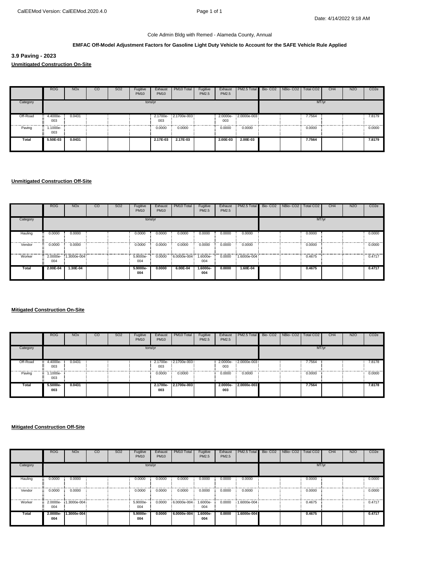#### **EMFAC Off-Model Adjustment Factors for Gasoline Light Duty Vehicle to Account for the SAFE Vehicle Rule Applied**

**3.9 Paving - 2023 Unmitigated Construction On-Site**

|          | <b>ROG</b>                   | <b>NO<sub>x</sub></b> | CO | <b>SO2</b> | Fugitive<br><b>PM10</b> | Exhaust<br><b>PM10</b> | PM10 Total          | Fugitive<br>PM2.5 | Exhaust<br>PM2.5 | PM2.5 Total Bio-CO2 NBio-CO2 Total CO2 |  |        | CH <sub>4</sub> | <b>N2O</b> | CO <sub>2</sub> e |
|----------|------------------------------|-----------------------|----|------------|-------------------------|------------------------|---------------------|-------------------|------------------|----------------------------------------|--|--------|-----------------|------------|-------------------|
| Category |                              |                       |    |            | tons/yr                 |                        |                     |                   |                  |                                        |  |        | MT/yr           |            |                   |
| Off-Road | 4.4000e-<br><b>W.</b><br>003 | 0.0431                |    |            |                         | 003                    | 2.1700e-2.1700e-003 |                   | 003              | 2.0000e-2.0000e-003                    |  | 7.7564 |                 |            | 7.8179<br>        |
| Paving   | .1000e-<br>×<br>003          |                       |    |            |                         | 0.0000                 | 0.0000              |                   | 0.0000           | 0.0000                                 |  | 0.0000 |                 |            | 0.0000            |
| Total    | 5.50E-03                     | 0.0431                |    |            |                         | 2.17E-03               | 2.17E-03            |                   | 2.00E-03         | 2.00E-03                               |  | 7.7564 |                 |            | 7.8179            |

#### **Unmitigated Construction Off-Site**

|          | <b>ROG</b>      | <b>NO<sub>x</sub></b> | $_{\rm CO}$ | SO <sub>2</sub> | Fugitive<br><b>PM10</b> | Exhaust<br><b>PM10</b> | PM <sub>10</sub> Total | Fugitive<br>PM2.5 | Exhaust<br>PM2.5 | PM2.5 Total | Bio-CO <sub>2</sub> | NBio-CO <sub>2</sub> | Total CO <sub>2</sub> | CH <sub>4</sub> | N <sub>2</sub> O | CO <sub>2</sub> e |
|----------|-----------------|-----------------------|-------------|-----------------|-------------------------|------------------------|------------------------|-------------------|------------------|-------------|---------------------|----------------------|-----------------------|-----------------|------------------|-------------------|
| Category |                 |                       |             |                 | tons/yr                 |                        |                        |                   |                  |             |                     |                      | MT/yr                 |                 |                  |                   |
| Hauling  | 0.0000          | 0.0000                |             |                 | 0.0000                  | 0.0000                 | 0.0000                 | 0.0000            | 0.0000           | 0.0000      |                     |                      | 0.0000                |                 |                  | 0.0000            |
| Vendor   | 0.0000          | 0.0000                |             |                 | 0.0000                  | 0.0000                 | 0.0000                 | 0.0000            | 0.0000           | 0.0000      |                     |                      | 0.0000                |                 |                  | 0.0000            |
| Worker   | 2.0000e-<br>004 | 1.3000e-004           |             |                 | 5.9000e-<br>004         | 0.0000                 | 6.0000e-004            | 1.6000e-<br>004   | 0.0000           | 1.6000e-004 |                     |                      | 0.4675                |                 |                  | 0.4717            |
| Total    | 2.00E-04        | 1.30E-04              |             |                 | 5.9000e-<br>004         | 0.0000                 | 6.00E-04               | 1.6000e-<br>004   | 0.0000           | 1.60E-04    |                     |                      | 0.4675                |                 |                  | 0.4717            |

#### **Mitigated Construction On-Site**

|          | <b>ROG</b>           | <b>NO<sub>x</sub></b> | CO | <b>SO2</b> | Fugitive<br><b>PM10</b> | Exhaust<br><b>PM10</b> | PM10 Total           | Fugitive<br>PM2.5 | PM2.5  | Exhaust   PM2.5 Total   Bio- CO2   NBio- CO2   Total CO2 |  |        | CH <sub>4</sub> | N <sub>2</sub> O | CO <sub>2</sub> e |
|----------|----------------------|-----------------------|----|------------|-------------------------|------------------------|----------------------|-------------------|--------|----------------------------------------------------------|--|--------|-----------------|------------------|-------------------|
| Category |                      |                       |    |            | tons/yr                 |                        |                      |                   |        |                                                          |  | MT/yr  |                 |                  |                   |
| Off-Road | 4.4000e-<br>003      | 0.0431                |    |            |                         | 003                    | 2.1700e-2.1700e-003  |                   | 003    | 2.0000e-2.0000e-003                                      |  | 7.7564 |                 |                  | 7.8178            |
| Paving   | 1.1000e-<br>÷<br>003 |                       |    |            |                         | 0.0000                 | 0.0000               |                   | 0.0000 | 0.0000                                                   |  | 0.0000 |                 |                  | 0.0000            |
| Total    | 5.5000e-<br>003      | 0.0431                |    |            |                         | 003                    | 2.1700e- 2.1700e-003 |                   | 003    | 2.0000e-2.0000e-003                                      |  | 7.7564 |                 |                  | 7.8178            |

|          | <b>ROG</b>        | <b>NO<sub>x</sub></b> | $_{\rm CO}$ | SO <sub>2</sub> | Fugitive<br><b>PM10</b> | Exhaust<br><b>PM10</b> | PM <sub>10</sub> Total | Fugitive<br>PM2.5 | Exhaust<br>PM2.5 | PM2.5 Total        | Bio-CO2 NBio-CO2 | Total CO <sub>2</sub> | CH <sub>4</sub> | N <sub>2</sub> O | CO <sub>2</sub> e |
|----------|-------------------|-----------------------|-------------|-----------------|-------------------------|------------------------|------------------------|-------------------|------------------|--------------------|------------------|-----------------------|-----------------|------------------|-------------------|
| Category |                   |                       |             |                 | tons/yr                 |                        |                        |                   |                  |                    |                  | MT/yr                 |                 |                  |                   |
| Hauling  | 0.0000            | 0.0000                |             |                 | 0.0000                  | 0.0000                 | 0.0000                 | 0.0000            | 0.0000           | 0.0000             |                  | 0.0000                |                 |                  | 0.0000            |
| Vendor   | 0.0000            | 0.0000                |             |                 | 0.0000                  | 0.0000                 | 0.0000                 | 0.0000            | 0.0000           | 0.0000             |                  | 0.0000                |                 |                  | 0.0000            |
| Worker   | 2.0000e-<br>004   | 1.3000e-004           |             |                 | 5.9000e-<br>004         | 0.0000                 | 6.0000e-004            | 1.6000e-<br>004   |                  | 0.0000 1.6000e-004 |                  | 0.4675                |                 |                  | 0.4717            |
| Total    | $2.0000e-$<br>004 | 1.3000e-004           |             |                 | 5.9000e-<br>004         | 0.0000                 | 6.0000e-004            | $1.6000e-$<br>004 | 0.0000           | 1.6000e-004        |                  | 0.4675                |                 |                  | 0.4717            |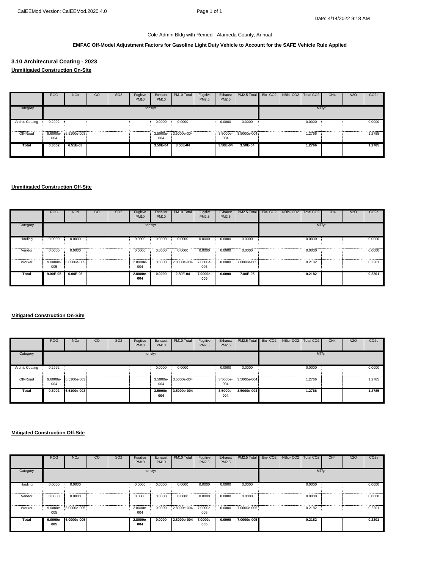#### **EMFAC Off-Model Adjustment Factors for Gasoline Light Duty Vehicle to Account for the SAFE Vehicle Rule Applied**

# **3.10 Architectural Coating - 2023 Unmitigated Construction On-Site**

|                 | <b>ROG</b> | <b>NO<sub>x</sub></b> | $_{\rm CO}$ | SO <sub>2</sub> | Fugitive<br><b>PM10</b> | Exhaust<br><b>PM10</b> | PM10 Total           | Fugitive<br>PM2.5 | PM2.5    | Exhaust   PM2.5 Total   Bio- CO2   NBio- CO2   Total CO2 |  |        | CH <sub>4</sub> | N <sub>2</sub> O | CO <sub>2</sub> e |
|-----------------|------------|-----------------------|-------------|-----------------|-------------------------|------------------------|----------------------|-------------------|----------|----------------------------------------------------------|--|--------|-----------------|------------------|-------------------|
| Category        |            |                       |             |                 |                         | tons/yr                |                      |                   |          |                                                          |  | MT/yr  |                 |                  |                   |
| Archit. Coating | 0.2992     |                       |             |                 |                         | 0.0000                 | 0.0000               |                   | 0.0000   | 0.0000                                                   |  | 0.0000 |                 |                  | 0.0000            |
| Off-Road        | 004        | 9.6000e- 6.5100e-003  |             |                 |                         | 004                    | 3.5000e- 3.5000e-004 |                   | 004      | 3.5000e- 3.5000e-004                                     |  | 1.2766 |                 |                  | 1.2785            |
| Total           | 0.3002     | 6.51E-03              |             |                 |                         | 3.50E-04               | 3.50E-04             |                   | 3.50E-04 | 3.50E-04                                                 |  | 1.2766 |                 |                  | 1.2785            |

# **Unmitigated Construction Off-Site**

|          | <b>ROG</b>   | <b>NO<sub>x</sub></b> | $_{\rm CO}$ | SO <sub>2</sub> | Fugitive<br><b>PM10</b> | Exhaust<br><b>PM10</b> | PM10 Total           | Fugitive<br>PM2.5 | Exhaust<br>PM2.5 | PM2.5 Total        | Bio-CO2 NBio-CO2 | Total CO <sub>2</sub> | CH <sub>4</sub> | N <sub>2</sub> O | CO <sub>2</sub> e |
|----------|--------------|-----------------------|-------------|-----------------|-------------------------|------------------------|----------------------|-------------------|------------------|--------------------|------------------|-----------------------|-----------------|------------------|-------------------|
| Category |              |                       |             |                 |                         | tons/yr                |                      |                   |                  |                    |                  | MT/yr                 |                 |                  |                   |
| Hauling  | 0.0000       | 0.0000                |             |                 | 0.0000                  | 0.0000                 | 0.0000               | 0.0000            | 0.0000           | 0.0000             |                  | 0.0000                |                 |                  | 0.0000            |
| Vendor   | 0.0000       | 0.0000                |             |                 | 0.0000                  | 0.0000                 | 0.0000               | 0.0000            | 0.0000           | 0.0000             |                  | 0.0000                |                 |                  | 0.0000<br>.       |
| Worker   | 005          | 9.0000e- 6.0000e-005  |             |                 | 2.8000e-<br>004         | 0.0000                 | 2.8000e-004 7.0000e- | 005               |                  | 0.0000 7.0000e-005 |                  | 0.2182                |                 |                  | 0.2201            |
| Total    | $9.00E - 05$ | 6.00E-05              |             |                 | 2.8000e-<br>004         | 0.0000                 | 2.80E-04             | 7.0000e-<br>005   | 0.0000           | 7.00E-05           |                  | 0.2182                |                 |                  | 0.2201            |

#### **Mitigated Construction On-Site**

|                 | <b>ROG</b> | NO <sub>x</sub>           | <sub>co</sub> | SO <sub>2</sub> | Fugitive<br><b>PM10</b> | Exhaust<br><b>PM10</b> | PM <sub>10</sub> Total | Fugitive<br>PM2.5 | PM2.5           | Exhaust   PM2.5 Total | Bio-CO <sub>2</sub> | NBio-CO2   Total CO2 |        | CH <sub>4</sub> | N <sub>2</sub> O | CO <sub>2</sub> e |
|-----------------|------------|---------------------------|---------------|-----------------|-------------------------|------------------------|------------------------|-------------------|-----------------|-----------------------|---------------------|----------------------|--------|-----------------|------------------|-------------------|
| Category        |            |                           |               |                 | tons/yr                 |                        |                        |                   |                 |                       |                     |                      | MT/yr  |                 |                  |                   |
| Archit. Coating | 0.2992     |                           |               |                 |                         | 0.0000                 | 0.0000                 |                   | 0.0000          | 0.0000                |                     | .                    | 0.0000 |                 |                  | 0.0000<br>.       |
| Off-Road        | 004        | $9.6000e - 6.5100e - 003$ |               |                 |                         | 004                    | $3.5000e-3.5000e-004$  |                   | 004             | $3.5000e-3.5000e-004$ |                     |                      | 1.2766 |                 |                  | 1.2785            |
| Total           | 0.3002     | 6.5100e-003               |               |                 |                         | $3.5000e-$<br>004      | 3.5000e-004            |                   | 3.5000e-<br>004 | 3.5000e-004           |                     |                      | 1.2766 |                 |                  | 1.2785            |

|              | <b>ROG</b>        | <b>NO<sub>x</sub></b> | $_{\rm CO}$ | SO <sub>2</sub> | Fugitive<br><b>PM10</b> | Exhaust<br><b>PM10</b> | PM10 Total  | Fugitive<br>PM2.5 | Exhaust<br>PM2.5 | PM2.5 Total | Bio-CO2 NBio-CO2 | Total CO <sub>2</sub> | CH <sub>4</sub> | N <sub>2</sub> O | CO <sub>2</sub> e |
|--------------|-------------------|-----------------------|-------------|-----------------|-------------------------|------------------------|-------------|-------------------|------------------|-------------|------------------|-----------------------|-----------------|------------------|-------------------|
| Category     |                   |                       |             |                 |                         | tons/yr                |             |                   |                  |             |                  | MT/yr                 |                 |                  |                   |
| Hauling      | 0.0000            | 0.0000                |             |                 | 0.0000                  | 0.0000                 | 0.0000      | 0.0000            | 0.0000           | 0.0000      |                  | 0.0000                |                 |                  | 0.0000            |
| Vendor       | 0.0000            | 0.0000                |             |                 | 0.0000                  | 0.0000                 | 0.0000      | 0.0000            | 0.0000           | 0.0000      |                  | 0.0000                |                 |                  | 0.0000            |
| Worker       | 005               | 9.0000e- 6.0000e-005  |             |                 | 2.8000e-<br>004         | 0.0000                 | 2.8000e-004 | 7.0000e-<br>005   | 0.0000           | 7.0000e-005 |                  | 0.2182                |                 |                  | 0.2201            |
| <b>Total</b> | $9.0000e-$<br>005 | 6.0000e-005           |             |                 | 2.8000e-<br>004         | 0.0000                 | 2.8000e-004 | 7.0000e-<br>005   | 0.0000           | 7.0000e-005 |                  | 0.2182                |                 |                  | 0.2201            |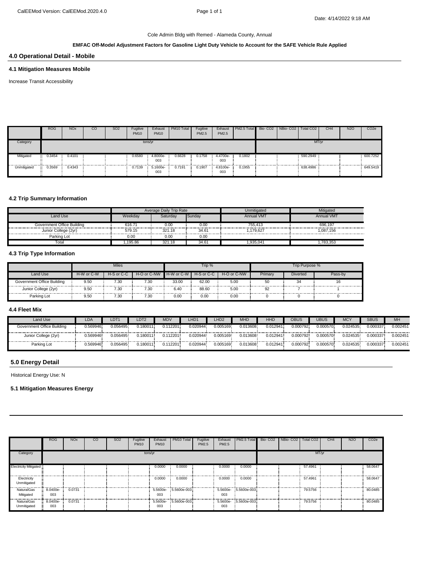# **EMFAC Off-Model Adjustment Factors for Gasoline Light Duty Vehicle to Account for the SAFE Vehicle Rule Applied**

# **4.0 Operational Detail - Mobile**

#### **4.1 Mitigation Measures Mobile**

Increase Transit Accessibility

|             | <b>ROG</b>  | <b>NOx</b> | CO | SO <sub>2</sub> | Fugitive<br><b>PM10</b> | Exhaust<br><b>PM10</b> | PM10 Total | Fugitive<br>PM2.5 | Exhaust<br>PM2.5 | <b>PM2.5 Total</b> | Bio- CO2   NBio- CO2   Total CO2 |          | CH <sub>4</sub> | N <sub>2</sub> O | CO <sub>2e</sub> |
|-------------|-------------|------------|----|-----------------|-------------------------|------------------------|------------|-------------------|------------------|--------------------|----------------------------------|----------|-----------------|------------------|------------------|
| Category    |             |            |    |                 | tons/yr                 |                        |            |                   |                  |                    |                                  | MT/yr    |                 |                  |                  |
| Mitigated   | π<br>0.3454 | 0.4101     |    |                 | 0.6580                  | 4.8000e-<br>003        | 0.6628     | 0.1758            | 4.4700e-<br>003  | 0.1802             |                                  | 590.2949 |                 |                  | 600.7252         |
| Unmitigated | Ħ<br>0.3569 | 0.4343     |    |                 | 0.7139                  | 5.1600e-<br>003        | 0.7191     | 0.1907            | 4.8100e-<br>003  | 0.1955             |                                  | 638.4986 |                 |                  | 649.5419         |

#### **4.2 Trip Summary Information**

|                            |            | Average Daily Trip Rate |           | Unmitigated       | Mitigated         |
|----------------------------|------------|-------------------------|-----------|-------------------|-------------------|
| Land Use                   | Weekdav    | Saturdav                | Sundav    | <b>Annual VMT</b> | <b>Annual VMT</b> |
| Government Office Building | 616.71<br> | 0.00                    | J.OC<br>. | 755,413           | 696.197           |
| Junior College (2yr)       | 579.15     | 321.18                  | 34.61     | .179.627          | 1.087.156         |
| Parking Lot                | 0.00       | 0.00                    | 0.00      |                   |                   |
| Totai                      | .195.86    | 321.18                  | 34.61     | .935.041          | .783.353          |

# **4.3 Trip Type Information**

|                            |            | <b>Miles</b>   |                  |            | Trip %     |             |         | Trip Purpose % |  |
|----------------------------|------------|----------------|------------------|------------|------------|-------------|---------|----------------|--|
| Land Use                   | H-W or C-W | H-S or C-C     | $H-O$ or $C$ -NW | H-W or C-W | H-S or C-C | H-O or C-NW | Primary | Diverted       |  |
| Government Office Building | 9.50       | $^{\prime}.30$ | 7.30             | 33.00      | 62.00      | 5.00        | 50      |                |  |
| Junior College (2yr)<br>   | 9.50       | <br><br>7.30   | 7.30             | .<br>6.40  | 88.60      | .<br>5.00   | .<br>92 | <br>           |  |
| Parking Lot                | 9.50       | 7.30           | 7.30             | 0.00       | 0.00       | 0.00        |         |                |  |

#### **4.4 Fleet Mix**

| Land Use                   | ∟DA ∶    | LDT1     | LDT2     | <b>MD</b> | LHD <sup>2</sup> | LHD <sub>2</sub> | <b>MHD</b> | HHD      | OBUS     | JBUS     | MC'      | <b>SBUS</b> | <b>MH</b> |
|----------------------------|----------|----------|----------|-----------|------------------|------------------|------------|----------|----------|----------|----------|-------------|-----------|
| Government Office Building | .569946  | 0.056495 | 0.180011 | 0.112201  | 0.020944         | 0.005169         | 0.013608   | 0.012941 | 0.000792 | 0.000570 | 0.024535 | 0.000337    | 0.002451  |
| Junior College (2yr)       | 1.569946 | 0.056495 | 0.180011 | 0.112201  | 0.020944         | 0.005169         | 0.013608   | 0.012941 | 0.000792 | 0.000570 | 0.024535 | 0.000337    | 0.002451  |
| Parking Lot                | .569946. | 0.056495 | 0.180011 | 0.112201  | 0.020944         | 0.005169         | 0.013608   | 0.012941 | 0.000792 | 0.000570 | 0.024535 | 0.000337    | 0.002451  |

# **5.0 Energy Detail**

Historical Energy Use: N

#### **5.1 Mitigation Measures Energy**

|                              | <b>ROG</b>      | <b>NO<sub>x</sub></b> | CO | <b>SO2</b> | Fugitive<br><b>PM10</b> | Exhaust<br><b>PM10</b> | PM10 Total           | Fugitive<br>PM2.5 | Exhaust<br>PM2.5 | PM2.5 Total Bio-CO2 NBio-CO2 Total CO2 |  |         | CH <sub>4</sub> | <b>N2O</b> | CO <sub>2e</sub> |
|------------------------------|-----------------|-----------------------|----|------------|-------------------------|------------------------|----------------------|-------------------|------------------|----------------------------------------|--|---------|-----------------|------------|------------------|
| Category                     |                 |                       |    |            |                         | tons/yr                |                      |                   |                  |                                        |  | MT/yr   |                 |            |                  |
| <b>Electricity Mitigated</b> |                 |                       |    |            |                         | 0.0000                 | 0.0000               |                   | 0.0000           | 0.0000                                 |  | 57,4961 |                 |            | 58.0647          |
| Electricity<br>Unmitigated   |                 |                       |    |            |                         | 0.0000                 | 0.0000               |                   | 0.0000           | 0.0000                                 |  | 57.4961 |                 |            | 58.0647          |
| NaturalGas<br>Mitigated      | 8.0400e-<br>003 | 0.0731                |    |            |                         | 003                    | 5.5600e- 5.5600e-003 |                   | 003              | 5.5600e- 5.5600e-003                   |  | 79.5756 |                 |            | 80.0485          |
| NaturalGas<br>Unmitigated    | 8.0400e-<br>003 | 0.0731                |    |            |                         | 003                    | 5.5600e- 5.5600e-003 |                   | 003              | 5.5600e- 5.5600e-003                   |  | 79.5756 |                 |            | 80.0485          |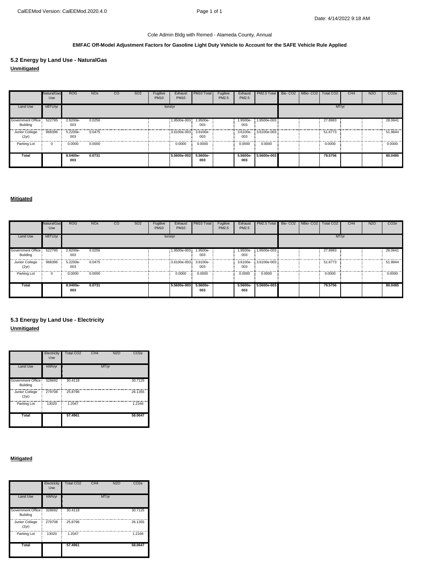# **EMFAC Off-Model Adjustment Factors for Gasoline Light Duty Vehicle to Account for the SAFE Vehicle Rule Applied**

**5.2 Energy by Land Use - NaturalGas Unmitigated**

|                                      | <b>NaturalGas</b><br>Use | <b>ROG</b>      | <b>NO<sub>x</sub></b> | CO | <b>SO2</b> | Fugitive<br><b>PM10</b> | Exhaust<br><b>PM10</b> | PM10 Total      | Fugitive<br>PM2.5 | Exhaust<br>PM2.5 | PM2.5 Total Bio- CO2 NBio- CO2 |  | Total CO <sub>2</sub> | CH <sub>4</sub> | <b>N2O</b> | CO <sub>2e</sub> |
|--------------------------------------|--------------------------|-----------------|-----------------------|----|------------|-------------------------|------------------------|-----------------|-------------------|------------------|--------------------------------|--|-----------------------|-----------------|------------|------------------|
| Land Use                             | kBTU/yr                  |                 |                       |    |            | tons/yr                 |                        |                 |                   |                  |                                |  | MT/yr                 |                 |            |                  |
| Government Office<br>Building        | 522795                   | 2.8200e-<br>003 | 0.0256                |    |            |                         | 1.9500e-003            | 1.9500e-<br>003 |                   | 003              | 1.9500e- 1.9500e-003           |  | 27,8983               |                 |            | 28,0641          |
| Junior College<br>(2 <sub>yr</sub> ) | 968396                   | 5.2200e-<br>003 | 0.0475                |    |            |                         | 3.6100e-003 3.6100e-   | 003             |                   | 003              | 3.6100e-3.6100e-003            |  | 51.6773               |                 |            | 51.9844          |
| Parking Lot                          | $\Omega$                 | 0.0000          | 0.0000                |    |            |                         | 0.0000                 | 0.0000          |                   | 0.0000           | 0.0000                         |  | 0.0000                |                 |            | 0.0000           |
| Total                                |                          | 8.0400e-<br>003 | 0.0731                |    |            |                         | 5.5600e-003            | 5.5600e-<br>003 |                   | 5.5600e-<br>003  | 5.5600e-003                    |  | 79.5756               |                 |            | 80.0485          |

#### **Mitigated**

|                                      | NaturalGas<br>Use | <b>ROG</b>      | <b>NO<sub>x</sub></b> | SO <sub>2</sub><br>$_{\rm CO}$ | Fugitive<br><b>PM10</b> | Exhaust<br><b>PM10</b> | PM <sub>10</sub> Total | Fugitive<br>PM2.5 | Exhaust<br>PM2.5 | PM2.5 Total | Bio-CO <sub>2</sub> | NBio-CO <sub>2</sub> | Total CO2 | CH <sub>4</sub> | N <sub>2</sub> O | CO <sub>2e</sub> |
|--------------------------------------|-------------------|-----------------|-----------------------|--------------------------------|-------------------------|------------------------|------------------------|-------------------|------------------|-------------|---------------------|----------------------|-----------|-----------------|------------------|------------------|
| Land Use                             | kBTU/yr           |                 |                       |                                | tons/yr                 |                        |                        |                   |                  |             |                     |                      | MT/yr     |                 |                  |                  |
| Government Office:<br>Building       | 522795            | 2.8200e-<br>003 | 0.0256                |                                |                         | 1.9500e-003            | .9500e-<br>003         |                   | 1.9500e-<br>003  | 1.9500e-003 |                     |                      | 27,8983   |                 |                  | 28.0641          |
| Junior College<br>(2 <sub>yr</sub> ) | 968396            | 5.2200e-<br>003 | 0.0475                |                                |                         | 3.6100e-003 3.6100e-   | 003                    |                   | 3.6100e-<br>003  | 3.6100e-003 |                     |                      | 51,6773   |                 |                  | 51.9844          |
| Parking Lot                          | 0                 | 0.0000          | 0.0000                |                                |                         | 0.0000                 | 0.0000                 |                   | 0.0000           | 0.0000      |                     |                      | 0.0000    |                 |                  | <br>0.0000       |
| <b>Total</b>                         |                   | 8.0400e-<br>003 | 0.0731                |                                |                         | 5.5600e-003            | 5.5600e-<br>003        |                   | 5.5600e-<br>003  | 5.5600e-003 |                     |                      | 79.5756   |                 |                  | 80.0485          |

# **Unmitigated 5.3 Energy by Land Use - Electricity**

|                                      | Electricity<br>Use | Total CO <sub>2</sub> | CH <sub>4</sub> | <b>N2O</b> | CO <sub>2</sub> e |
|--------------------------------------|--------------------|-----------------------|-----------------|------------|-------------------|
| Land Use                             | kWh/yr             |                       |                 | MT/yr      |                   |
| Government Office<br><b>Building</b> | 328692             | 30.4118               |                 |            | 30.7125           |
| Junior College<br>(2 <sub>yr</sub> ) | 279708             | 25.8796               |                 |            | 26.1355           |
| Parking Lot                          | 13020              | 1.2047                |                 |            | 1.2166            |
| <b>Total</b>                         |                    | 57.4961               |                 |            | 58.0647           |

# **Mitigated**

|                                      | Electricity<br>Use | <b>Total CO2</b> | CH <sub>4</sub> | <b>N2O</b> | CO <sub>2e</sub> |
|--------------------------------------|--------------------|------------------|-----------------|------------|------------------|
| Land Use                             | kWh/yr             |                  |                 | MT/yr      |                  |
| Government Office<br><b>Building</b> | 328692             | 30.4118          |                 |            | 30.7125          |
| Junior College<br>(2 <sub>yr</sub> ) | 279708             | 25.8796          |                 |            | 26.1355          |
| Parking Lot                          | 13020              | 1.2047           |                 |            | 1.2166           |
| Total                                |                    | 57.4961          |                 |            | 58.0647          |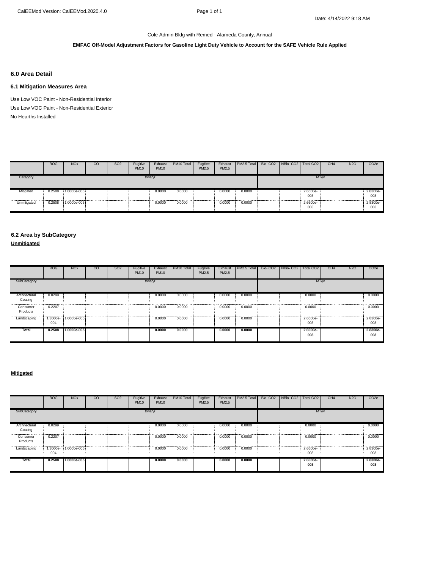# **EMFAC Off-Model Adjustment Factors for Gasoline Light Duty Vehicle to Account for the SAFE Vehicle Rule Applied**

### **6.0 Area Detail**

# **6.1 Mitigation Measures Area**

Use Low VOC Paint - Non-Residential Exterior No Hearths Installed Use Low VOC Paint - Non-Residential Interior

|               | <b>ROG</b> | <b>NO<sub>x</sub></b> | CO | SO <sub>2</sub> | Fugitive<br><b>PM10</b> | Exhaust<br><b>PM10</b> | PM10 Total | Fugitive<br>PM2.5 | Exhaust<br>PM2.5 | PM2.5 Total | Bio- CO2 NBio- CO2   Total CO2 |                 | CH <sub>4</sub> | N <sub>2</sub> O | CO <sub>2</sub> e |
|---------------|------------|-----------------------|----|-----------------|-------------------------|------------------------|------------|-------------------|------------------|-------------|--------------------------------|-----------------|-----------------|------------------|-------------------|
| Category      |            |                       |    |                 |                         | tons/yr                |            |                   |                  |             |                                | MT/yr           |                 |                  |                   |
| Mitigated<br> | 0.2508     | $1.0000e-005$         |    | .               |                         | 0.0000                 | 0.0000     |                   | 0.0000           | 0.0000      |                                | 2.6600e-<br>003 | .               |                  | 2.8300e-<br>003   |
| Unmitigated   | 0.2508     | 1.0000e-005           |    |                 |                         | 0.0000                 | 0.0000     |                   | 0.0000           | 0.0000      |                                | 2.6600e-<br>003 |                 |                  | 2.8300e-<br>003   |

# **6.2 Area by SubCategory**

**Unmitigated**

|                          | <b>ROG</b> | <b>NO<sub>x</sub></b> | <sub>CO</sub> | SO <sub>2</sub> | Fugitive<br><b>PM10</b> | Exhaust<br><b>PM10</b> | PM <sub>10</sub> Total | Fugitive<br>PM2.5 | Exhaust<br>PM2.5 | PM2.5 Total | Bio- CO2   NBio- CO2 | Total CO <sub>2</sub> | CH <sub>4</sub> | N <sub>2</sub> O | CO <sub>2e</sub> |
|--------------------------|------------|-----------------------|---------------|-----------------|-------------------------|------------------------|------------------------|-------------------|------------------|-------------|----------------------|-----------------------|-----------------|------------------|------------------|
| SubCategory              |            |                       |               |                 |                         | tons/yr                |                        |                   |                  |             |                      | MT/yr                 |                 |                  |                  |
| Architectural<br>Coating | 0.0299     |                       |               |                 |                         | 0.0000<br>.            | 0.0000<br>.            |                   | 0.0000           | 0.0000      |                      | 0.0000                |                 |                  | 0.0000           |
| Consumer<br>Products     | 0.2207     |                       |               |                 |                         | 0.0000                 | 0.0000                 |                   | 0.0000           | 0.0000      |                      | 0.0000                |                 |                  | 0.0000           |
| Landscaping              | 004        | 1.3000e- 1.0000e-005  |               |                 |                         | 0.0000                 | 0.0000                 |                   | 0.0000           | 0.0000      |                      | 2.6600e-<br>003       |                 |                  | 2.8300e-<br>003  |
| Total                    | 0.2508     | 1.0000e-005           |               |                 |                         | 0.0000                 | 0.0000                 |                   | 0.0000           | 0.0000      |                      | $2.6600e-$<br>003     |                 |                  | 2.8300e-<br>003  |

#### **Mitigated**

|                          | <b>ROG</b>      | <b>NO<sub>x</sub></b> | <sub>CO</sub> | <b>SO2</b> | Fugitive<br><b>PM10</b> | Exhaust<br><b>PM10</b> | PM10 Total | Fugitive<br>PM2.5 | Exhaust<br>PM2.5 | PM2.5 Total | Bio-CO <sub>2</sub> | NBio-CO <sub>2</sub> | Total CO <sub>2</sub> | CH <sub>4</sub> | <b>N2O</b> | CO <sub>2</sub> e |
|--------------------------|-----------------|-----------------------|---------------|------------|-------------------------|------------------------|------------|-------------------|------------------|-------------|---------------------|----------------------|-----------------------|-----------------|------------|-------------------|
| SubCategory              |                 |                       |               |            |                         | tons/yr                |            |                   |                  |             |                     |                      | MT/yr                 |                 |            |                   |
| Architectural<br>Coating | 0.0299          |                       |               |            |                         | 0.0000                 | 0.0000     |                   | 0.0000           | 0.0000      |                     |                      | 0.0000                |                 |            | 0.0000            |
| Consumer<br>Products     | 0.2207          |                       |               |            |                         | 0.0000                 | 0.0000     |                   | 0.0000           | 0.0000      |                     |                      | 0.0000                |                 |            | 0.0000            |
| Landscaping              | 1.3000e-<br>004 | 1.0000e-005           |               |            |                         | 0.0000                 | 0.0000     |                   | 0.0000           | 0.0000      |                     |                      | 2.6600e-<br>003       |                 |            | 2.8300e-<br>003   |
| Total                    | 0.2508          | 1.0000e-005           |               |            |                         | 0.0000                 | 0.0000     |                   | 0.0000           | 0.0000      |                     |                      | $2.6600e-$<br>003     |                 |            | 2.8300e-<br>003   |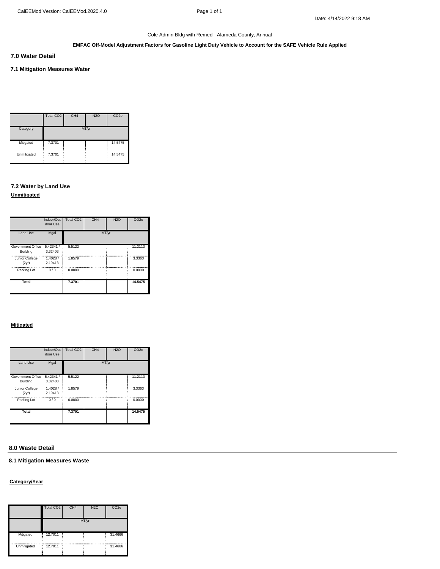#### **EMFAC Off-Model Adjustment Factors for Gasoline Light Duty Vehicle to Account for the SAFE Vehicle Rule Applied**

**7.0 Water Detail**

# **7.1 Mitigation Measures Water**

|             | Total CO2 | CH <sub>4</sub> | <b>N2O</b> | CO <sub>2e</sub> |
|-------------|-----------|-----------------|------------|------------------|
| Category    |           |                 | MT/yr      |                  |
| Mitigated   | 7.3701    |                 |            | 14.5475          |
| Unmitigated | 7.3701    |                 |            | 14.5475          |

# **7.2 Water by Land Use**

**Unmitigated**

|                                      | Indoor/Out<br>door Use | <b>Total CO2</b> | CH <sub>4</sub> | <b>N2O</b> | CO <sub>2</sub> e |
|--------------------------------------|------------------------|------------------|-----------------|------------|-------------------|
| Land Use                             | Mgal                   |                  | MT/vr           |            |                   |
| Government Office<br><b>Building</b> | 5.42341/<br>3.32403    | 5.5122           |                 |            | 11.2113           |
| Junior College<br>(2yr)              | 1.4028/<br>2.19413     | 1.8579           |                 |            | 3.3363            |
| Parking Lot                          | 0/0                    | 0.0000           |                 |            | 0.0000            |
| Total                                |                        | 7.3701           |                 |            | 14.5475           |

### **Mitigated**

|                               | Indoor/Out<br>door Use | Total CO2 | CH <sub>4</sub> | N <sub>2</sub> O | CO <sub>2e</sub> |
|-------------------------------|------------------------|-----------|-----------------|------------------|------------------|
| Land Use                      | Mgal                   |           | MT/yr           |                  |                  |
| Government Office<br>Building | 5.42341/<br>3.32403    | 5.5122    |                 |                  | 11.2113          |
| Junior College<br>(2yr)       | 1.4028/<br>2.19413     | 1.8579    |                 |                  | 3.3363           |
| Parking Lot                   | 0/0                    | 0.0000    |                 |                  | 0.0000           |
| Total                         |                        | 7.3701    |                 |                  | 14.5475          |

# **8.0 Waste Detail**

**8.1 Mitigation Measures Waste**

#### **Category/Year**

|                  | Total CO2    | CH <sub>4</sub> | <b>N2O</b> | CO <sub>2e</sub> |
|------------------|--------------|-----------------|------------|------------------|
|                  |              |                 | MT/yr      |                  |
| Mitigated        | 12.7011<br>П |                 |            | 31.4666          |
| Unmitigated<br>Ħ | 12.7011      |                 |            | 31.4666          |